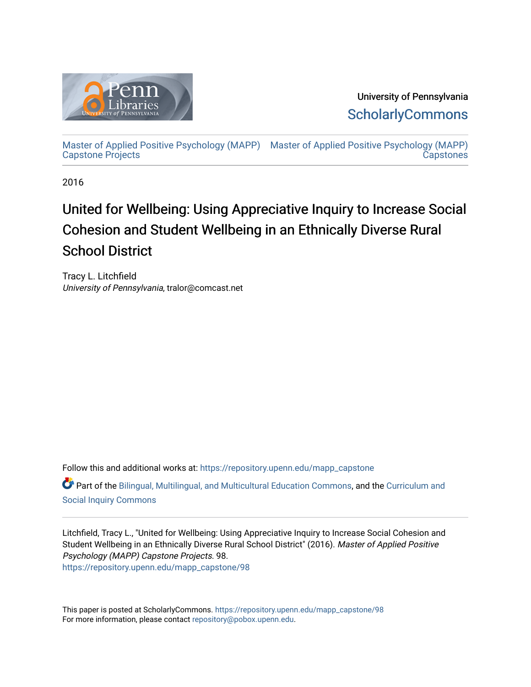

University of Pennsylvania **ScholarlyCommons** 

[Master of Applied Positive Psychology \(MAPP\)](https://repository.upenn.edu/mapp_capstone) [Master of Applied Positive Psychology \(MAPP\)](https://repository.upenn.edu/mapp_capstones)  [Capstone Projects](https://repository.upenn.edu/mapp_capstone)  **Capstones** 

2016

# United for Wellbeing: Using Appreciative Inquiry to Increase Social Cohesion and Student Wellbeing in an Ethnically Diverse Rural School District

Tracy L. Litchfield University of Pennsylvania, tralor@comcast.net

Follow this and additional works at: [https://repository.upenn.edu/mapp\\_capstone](https://repository.upenn.edu/mapp_capstone?utm_source=repository.upenn.edu%2Fmapp_capstone%2F98&utm_medium=PDF&utm_campaign=PDFCoverPages)  Part of the [Bilingual, Multilingual, and Multicultural Education Commons,](http://network.bepress.com/hgg/discipline/785?utm_source=repository.upenn.edu%2Fmapp_capstone%2F98&utm_medium=PDF&utm_campaign=PDFCoverPages) and the [Curriculum and](http://network.bepress.com/hgg/discipline/1038?utm_source=repository.upenn.edu%2Fmapp_capstone%2F98&utm_medium=PDF&utm_campaign=PDFCoverPages) [Social Inquiry Commons](http://network.bepress.com/hgg/discipline/1038?utm_source=repository.upenn.edu%2Fmapp_capstone%2F98&utm_medium=PDF&utm_campaign=PDFCoverPages)

Litchfield, Tracy L., "United for Wellbeing: Using Appreciative Inquiry to Increase Social Cohesion and Student Wellbeing in an Ethnically Diverse Rural School District" (2016). Master of Applied Positive Psychology (MAPP) Capstone Projects. 98. [https://repository.upenn.edu/mapp\\_capstone/98](https://repository.upenn.edu/mapp_capstone/98?utm_source=repository.upenn.edu%2Fmapp_capstone%2F98&utm_medium=PDF&utm_campaign=PDFCoverPages)

This paper is posted at ScholarlyCommons. [https://repository.upenn.edu/mapp\\_capstone/98](https://repository.upenn.edu/mapp_capstone/98)  For more information, please contact [repository@pobox.upenn.edu.](mailto:repository@pobox.upenn.edu)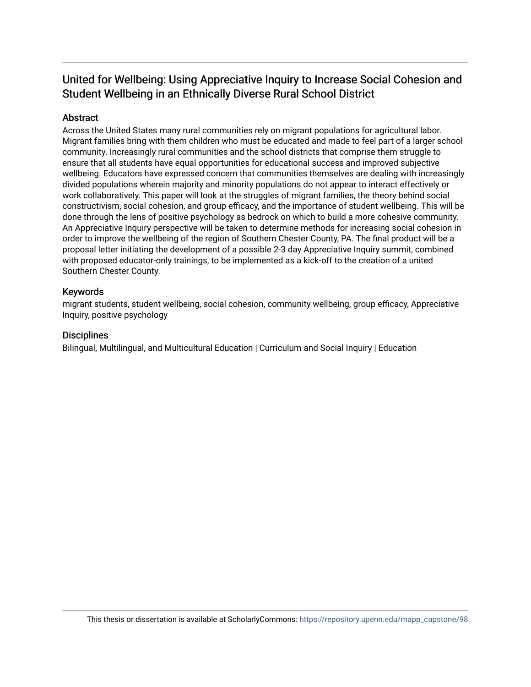## United for Wellbeing: Using Appreciative Inquiry to Increase Social Cohesion and Student Wellbeing in an Ethnically Diverse Rural School District

## **Abstract**

Across the United States many rural communities rely on migrant populations for agricultural labor. Migrant families bring with them children who must be educated and made to feel part of a larger school community. Increasingly rural communities and the school districts that comprise them struggle to ensure that all students have equal opportunities for educational success and improved subjective wellbeing. Educators have expressed concern that communities themselves are dealing with increasingly divided populations wherein majority and minority populations do not appear to interact effectively or work collaboratively. This paper will look at the struggles of migrant families, the theory behind social constructivism, social cohesion, and group efficacy, and the importance of student wellbeing. This will be done through the lens of positive psychology as bedrock on which to build a more cohesive community. An Appreciative Inquiry perspective will be taken to determine methods for increasing social cohesion in order to improve the wellbeing of the region of Southern Chester County, PA. The final product will be a proposal letter initiating the development of a possible 2-3 day Appreciative Inquiry summit, combined with proposed educator-only trainings, to be implemented as a kick-off to the creation of a united Southern Chester County.

## Keywords

migrant students, student wellbeing, social cohesion, community wellbeing, group efficacy, Appreciative Inquiry, positive psychology

## **Disciplines**

Bilingual, Multilingual, and Multicultural Education | Curriculum and Social Inquiry | Education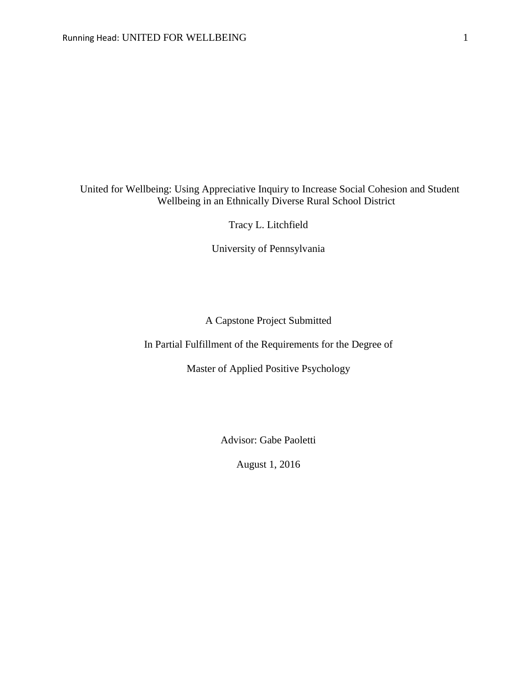## United for Wellbeing: Using Appreciative Inquiry to Increase Social Cohesion and Student Wellbeing in an Ethnically Diverse Rural School District

Tracy L. Litchfield

University of Pennsylvania

## A Capstone Project Submitted

In Partial Fulfillment of the Requirements for the Degree of

Master of Applied Positive Psychology

Advisor: Gabe Paoletti

August 1, 2016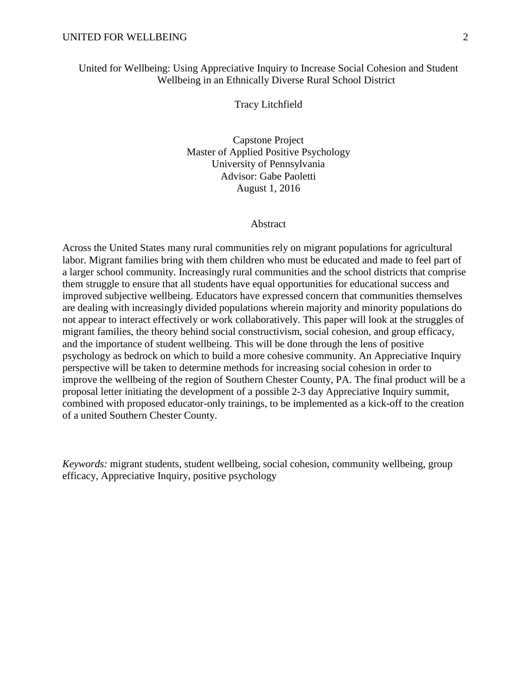## United for Wellbeing: Using Appreciative Inquiry to Increase Social Cohesion and Student Wellbeing in an Ethnically Diverse Rural School District

Tracy Litchfield

Capstone Project Master of Applied Positive Psychology University of Pennsylvania Advisor: Gabe Paoletti August 1, 2016

## Abstract

Across the United States many rural communities rely on migrant populations for agricultural labor. Migrant families bring with them children who must be educated and made to feel part of a larger school community. Increasingly rural communities and the school districts that comprise them struggle to ensure that all students have equal opportunities for educational success and improved subjective wellbeing. Educators have expressed concern that communities themselves are dealing with increasingly divided populations wherein majority and minority populations do not appear to interact effectively or work collaboratively. This paper will look at the struggles of migrant families, the theory behind social constructivism, social cohesion, and group efficacy, and the importance of student wellbeing. This will be done through the lens of positive psychology as bedrock on which to build a more cohesive community. An Appreciative Inquiry perspective will be taken to determine methods for increasing social cohesion in order to improve the wellbeing of the region of Southern Chester County, PA. The final product will be a proposal letter initiating the development of a possible 2-3 day Appreciative Inquiry summit, combined with proposed educator-only trainings, to be implemented as a kick-off to the creation of a united Southern Chester County.

*Keywords:* migrant students, student wellbeing, social cohesion, community wellbeing, group efficacy, Appreciative Inquiry, positive psychology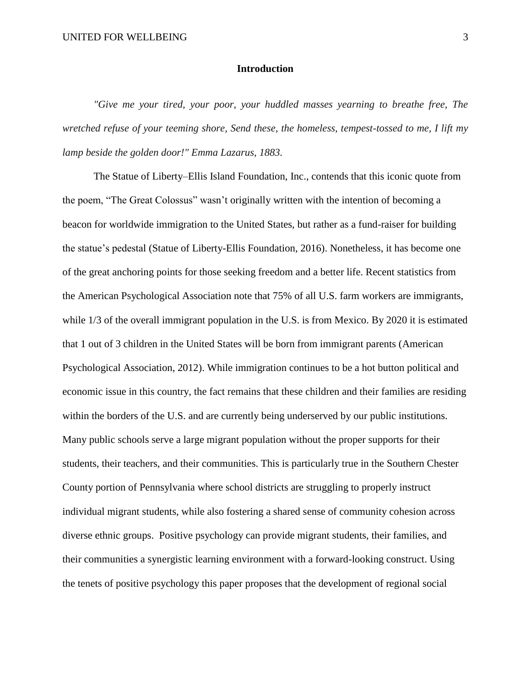## **Introduction**

*"Give me your tired, your poor, your huddled masses yearning to breathe free, The wretched refuse of your teeming shore, Send these, the homeless, tempest-tossed to me, I lift my lamp beside the golden door!" Emma Lazarus, 1883.*

The Statue of Liberty–Ellis Island Foundation, Inc., contends that this iconic quote from the poem, "The Great Colossus" wasn't originally written with the intention of becoming a beacon for worldwide immigration to the United States, but rather as a fund-raiser for building the statue's pedestal (Statue of Liberty-Ellis Foundation, 2016). Nonetheless, it has become one of the great anchoring points for those seeking freedom and a better life. Recent statistics from the American Psychological Association note that 75% of all U.S. farm workers are immigrants, while  $1/3$  of the overall immigrant population in the U.S. is from Mexico. By 2020 it is estimated that 1 out of 3 children in the United States will be born from immigrant parents (American Psychological Association, 2012). While immigration continues to be a hot button political and economic issue in this country, the fact remains that these children and their families are residing within the borders of the U.S. and are currently being underserved by our public institutions. Many public schools serve a large migrant population without the proper supports for their students, their teachers, and their communities. This is particularly true in the Southern Chester County portion of Pennsylvania where school districts are struggling to properly instruct individual migrant students, while also fostering a shared sense of community cohesion across diverse ethnic groups. Positive psychology can provide migrant students, their families, and their communities a synergistic learning environment with a forward-looking construct. Using the tenets of positive psychology this paper proposes that the development of regional social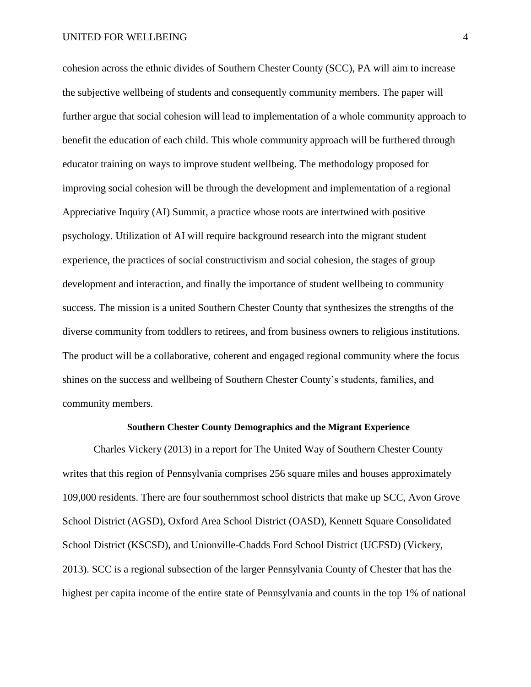cohesion across the ethnic divides of Southern Chester County (SCC), PA will aim to increase the subjective wellbeing of students and consequently community members. The paper will further argue that social cohesion will lead to implementation of a whole community approach to benefit the education of each child. This whole community approach will be furthered through educator training on ways to improve student wellbeing. The methodology proposed for improving social cohesion will be through the development and implementation of a regional Appreciative Inquiry (AI) Summit, a practice whose roots are intertwined with positive psychology. Utilization of AI will require background research into the migrant student experience, the practices of social constructivism and social cohesion, the stages of group development and interaction, and finally the importance of student wellbeing to community success. The mission is a united Southern Chester County that synthesizes the strengths of the diverse community from toddlers to retirees, and from business owners to religious institutions. The product will be a collaborative, coherent and engaged regional community where the focus shines on the success and wellbeing of Southern Chester County's students, families, and community members.

## **Southern Chester County Demographics and the Migrant Experience**

Charles Vickery (2013) in a report for The United Way of Southern Chester County writes that this region of Pennsylvania comprises 256 square miles and houses approximately 109,000 residents. There are four southernmost school districts that make up SCC, Avon Grove School District (AGSD), Oxford Area School District (OASD), Kennett Square Consolidated School District (KSCSD), and Unionville-Chadds Ford School District (UCFSD) (Vickery, 2013). SCC is a regional subsection of the larger Pennsylvania County of Chester that has the highest per capita income of the entire state of Pennsylvania and counts in the top 1% of national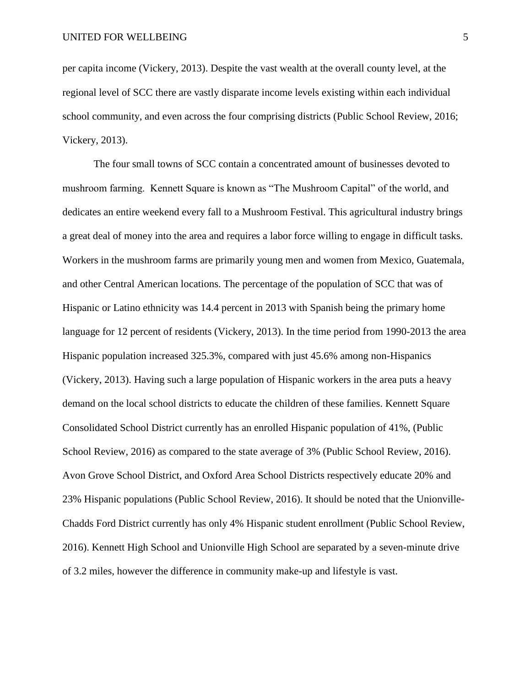per capita income (Vickery, 2013). Despite the vast wealth at the overall county level, at the regional level of SCC there are vastly disparate income levels existing within each individual school community, and even across the four comprising districts (Public School Review, 2016; Vickery, 2013).

The four small towns of SCC contain a concentrated amount of businesses devoted to mushroom farming. Kennett Square is known as "The Mushroom Capital" of the world, and dedicates an entire weekend every fall to a Mushroom Festival. This agricultural industry brings a great deal of money into the area and requires a labor force willing to engage in difficult tasks. Workers in the mushroom farms are primarily young men and women from Mexico, Guatemala, and other Central American locations. The percentage of the population of SCC that was of Hispanic or Latino ethnicity was 14.4 percent in 2013 with Spanish being the primary home language for 12 percent of residents (Vickery, 2013). In the time period from 1990-2013 the area Hispanic population increased 325.3%, compared with just 45.6% among non-Hispanics (Vickery, 2013). Having such a large population of Hispanic workers in the area puts a heavy demand on the local school districts to educate the children of these families. Kennett Square Consolidated School District currently has an enrolled Hispanic population of 41%, (Public School Review, 2016) as compared to the state average of 3% (Public School Review, 2016). Avon Grove School District, and Oxford Area School Districts respectively educate 20% and 23% Hispanic populations (Public School Review, 2016). It should be noted that the Unionville-Chadds Ford District currently has only 4% Hispanic student enrollment (Public School Review, 2016). Kennett High School and Unionville High School are separated by a seven-minute drive of 3.2 miles, however the difference in community make-up and lifestyle is vast.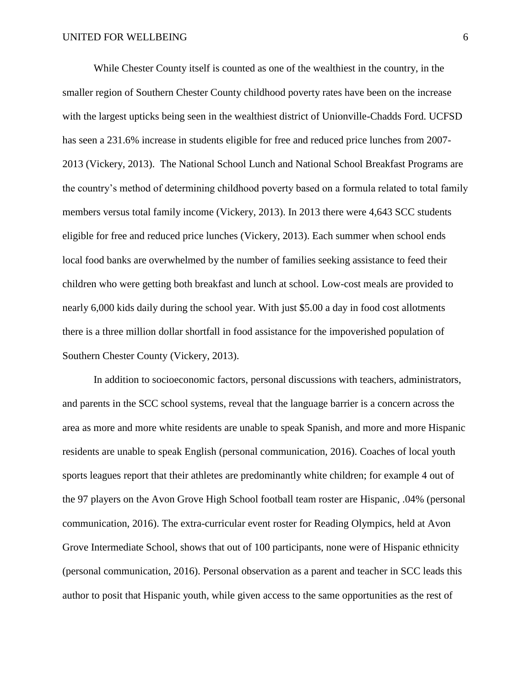While Chester County itself is counted as one of the wealthiest in the country, in the smaller region of Southern Chester County childhood poverty rates have been on the increase with the largest upticks being seen in the wealthiest district of Unionville-Chadds Ford. UCFSD has seen a 231.6% increase in students eligible for free and reduced price lunches from 2007- 2013 (Vickery, 2013). The National School Lunch and National School Breakfast Programs are the country's method of determining childhood poverty based on a formula related to total family members versus total family income (Vickery, 2013). In 2013 there were 4,643 SCC students eligible for free and reduced price lunches (Vickery, 2013). Each summer when school ends local food banks are overwhelmed by the number of families seeking assistance to feed their children who were getting both breakfast and lunch at school. Low-cost meals are provided to nearly 6,000 kids daily during the school year. With just \$5.00 a day in food cost allotments there is a three million dollar shortfall in food assistance for the impoverished population of Southern Chester County (Vickery, 2013).

In addition to socioeconomic factors, personal discussions with teachers, administrators, and parents in the SCC school systems, reveal that the language barrier is a concern across the area as more and more white residents are unable to speak Spanish, and more and more Hispanic residents are unable to speak English (personal communication, 2016). Coaches of local youth sports leagues report that their athletes are predominantly white children; for example 4 out of the 97 players on the Avon Grove High School football team roster are Hispanic, .04% (personal communication, 2016). The extra-curricular event roster for Reading Olympics, held at Avon Grove Intermediate School, shows that out of 100 participants, none were of Hispanic ethnicity (personal communication, 2016). Personal observation as a parent and teacher in SCC leads this author to posit that Hispanic youth, while given access to the same opportunities as the rest of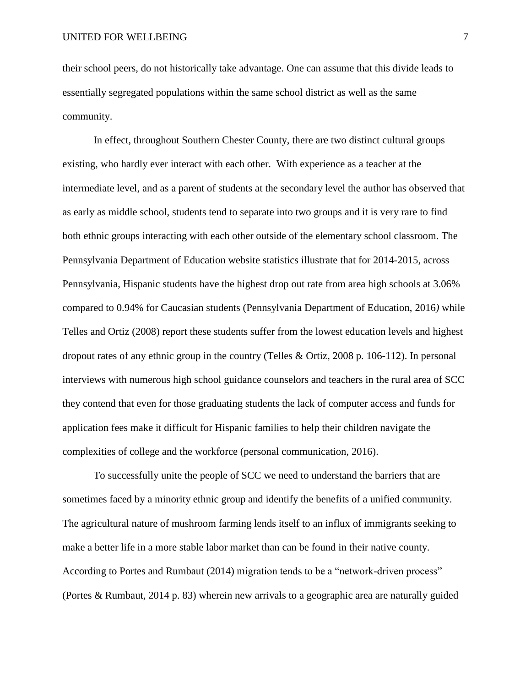their school peers, do not historically take advantage. One can assume that this divide leads to essentially segregated populations within the same school district as well as the same community.

In effect, throughout Southern Chester County, there are two distinct cultural groups existing, who hardly ever interact with each other. With experience as a teacher at the intermediate level, and as a parent of students at the secondary level the author has observed that as early as middle school, students tend to separate into two groups and it is very rare to find both ethnic groups interacting with each other outside of the elementary school classroom. The Pennsylvania Department of Education website statistics illustrate that for 2014-2015, across Pennsylvania, Hispanic students have the highest drop out rate from area high schools at 3.06% compared to 0.94% for Caucasian students (Pennsylvania Department of Education, 2016*)* while Telles and Ortiz (2008) report these students suffer from the lowest education levels and highest dropout rates of any ethnic group in the country (Telles & Ortiz, 2008 p. 106-112). In personal interviews with numerous high school guidance counselors and teachers in the rural area of SCC they contend that even for those graduating students the lack of computer access and funds for application fees make it difficult for Hispanic families to help their children navigate the complexities of college and the workforce (personal communication, 2016).

To successfully unite the people of SCC we need to understand the barriers that are sometimes faced by a minority ethnic group and identify the benefits of a unified community. The agricultural nature of mushroom farming lends itself to an influx of immigrants seeking to make a better life in a more stable labor market than can be found in their native county. According to Portes and Rumbaut (2014) migration tends to be a "network-driven process" (Portes & Rumbaut, 2014 p. 83) wherein new arrivals to a geographic area are naturally guided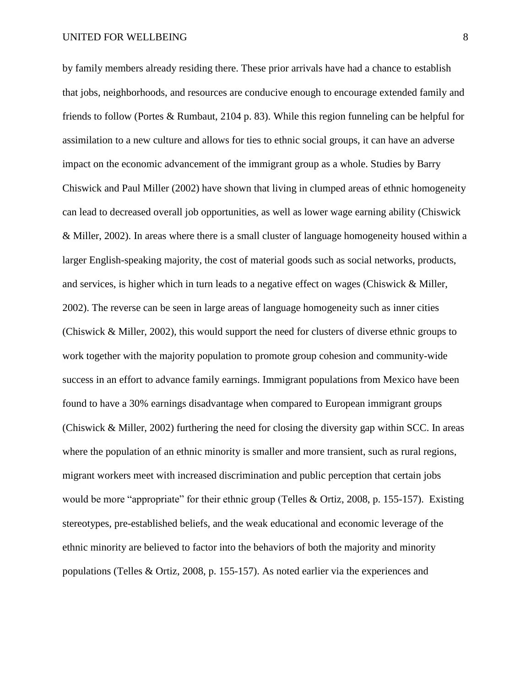by family members already residing there. These prior arrivals have had a chance to establish that jobs, neighborhoods, and resources are conducive enough to encourage extended family and friends to follow (Portes & Rumbaut, 2104 p. 83). While this region funneling can be helpful for assimilation to a new culture and allows for ties to ethnic social groups, it can have an adverse impact on the economic advancement of the immigrant group as a whole. Studies by Barry Chiswick and Paul Miller (2002) have shown that living in clumped areas of ethnic homogeneity can lead to decreased overall job opportunities, as well as lower wage earning ability (Chiswick & Miller, 2002). In areas where there is a small cluster of language homogeneity housed within a larger English-speaking majority, the cost of material goods such as social networks, products, and services, is higher which in turn leads to a negative effect on wages (Chiswick & Miller, 2002). The reverse can be seen in large areas of language homogeneity such as inner cities (Chiswick & Miller, 2002), this would support the need for clusters of diverse ethnic groups to work together with the majority population to promote group cohesion and community-wide success in an effort to advance family earnings. Immigrant populations from Mexico have been found to have a 30% earnings disadvantage when compared to European immigrant groups (Chiswick & Miller, 2002) furthering the need for closing the diversity gap within SCC. In areas where the population of an ethnic minority is smaller and more transient, such as rural regions, migrant workers meet with increased discrimination and public perception that certain jobs would be more "appropriate" for their ethnic group (Telles & Ortiz, 2008, p. 155-157). Existing stereotypes, pre-established beliefs, and the weak educational and economic leverage of the ethnic minority are believed to factor into the behaviors of both the majority and minority populations (Telles & Ortiz, 2008, p. 155-157). As noted earlier via the experiences and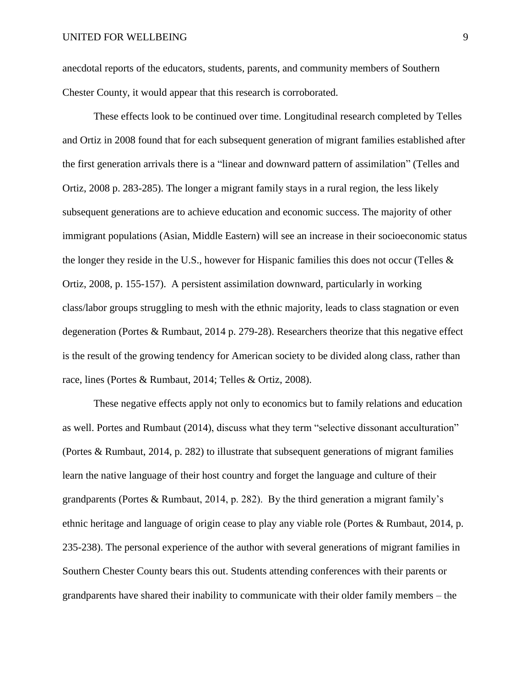anecdotal reports of the educators, students, parents, and community members of Southern Chester County, it would appear that this research is corroborated.

These effects look to be continued over time. Longitudinal research completed by Telles and Ortiz in 2008 found that for each subsequent generation of migrant families established after the first generation arrivals there is a "linear and downward pattern of assimilation" (Telles and Ortiz, 2008 p. 283-285). The longer a migrant family stays in a rural region, the less likely subsequent generations are to achieve education and economic success. The majority of other immigrant populations (Asian, Middle Eastern) will see an increase in their socioeconomic status the longer they reside in the U.S., however for Hispanic families this does not occur (Telles & Ortiz, 2008, p. 155-157). A persistent assimilation downward, particularly in working class/labor groups struggling to mesh with the ethnic majority, leads to class stagnation or even degeneration (Portes & Rumbaut, 2014 p. 279-28). Researchers theorize that this negative effect is the result of the growing tendency for American society to be divided along class, rather than race, lines (Portes & Rumbaut, 2014; Telles & Ortiz, 2008).

These negative effects apply not only to economics but to family relations and education as well. Portes and Rumbaut (2014), discuss what they term "selective dissonant acculturation" (Portes & Rumbaut, 2014, p. 282) to illustrate that subsequent generations of migrant families learn the native language of their host country and forget the language and culture of their grandparents (Portes & Rumbaut, 2014, p. 282). By the third generation a migrant family's ethnic heritage and language of origin cease to play any viable role (Portes & Rumbaut, 2014, p. 235-238). The personal experience of the author with several generations of migrant families in Southern Chester County bears this out. Students attending conferences with their parents or grandparents have shared their inability to communicate with their older family members – the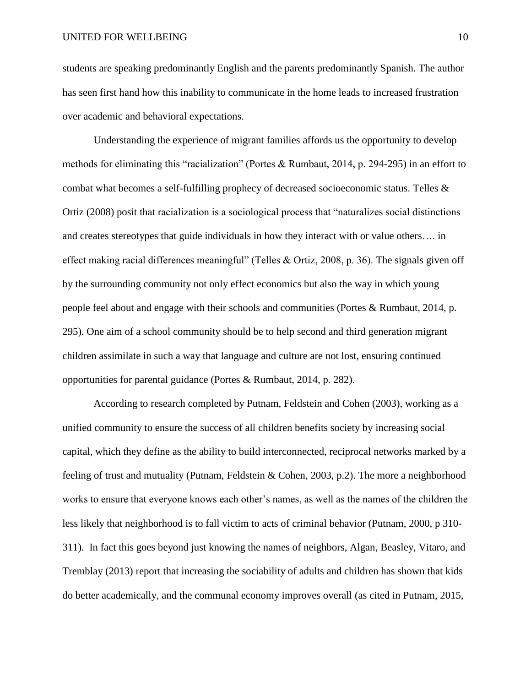students are speaking predominantly English and the parents predominantly Spanish. The author has seen first hand how this inability to communicate in the home leads to increased frustration over academic and behavioral expectations.

Understanding the experience of migrant families affords us the opportunity to develop methods for eliminating this "racialization" (Portes & Rumbaut, 2014, p. 294-295) in an effort to combat what becomes a self-fulfilling prophecy of decreased socioeconomic status. Telles & Ortiz (2008) posit that racialization is a sociological process that "naturalizes social distinctions and creates stereotypes that guide individuals in how they interact with or value others…. in effect making racial differences meaningful" (Telles & Ortiz, 2008, p. 36). The signals given off by the surrounding community not only effect economics but also the way in which young people feel about and engage with their schools and communities (Portes & Rumbaut, 2014, p. 295). One aim of a school community should be to help second and third generation migrant children assimilate in such a way that language and culture are not lost, ensuring continued opportunities for parental guidance (Portes & Rumbaut, 2014, p. 282).

According to research completed by Putnam, Feldstein and Cohen (2003), working as a unified community to ensure the success of all children benefits society by increasing social capital, which they define as the ability to build interconnected, reciprocal networks marked by a feeling of trust and mutuality (Putnam, Feldstein & Cohen, 2003, p.2). The more a neighborhood works to ensure that everyone knows each other's names, as well as the names of the children the less likely that neighborhood is to fall victim to acts of criminal behavior (Putnam, 2000, p 310- 311). In fact this goes beyond just knowing the names of neighbors, Algan, Beasley, Vitaro, and Tremblay (2013) report that increasing the sociability of adults and children has shown that kids do better academically, and the communal economy improves overall (as cited in Putnam, 2015,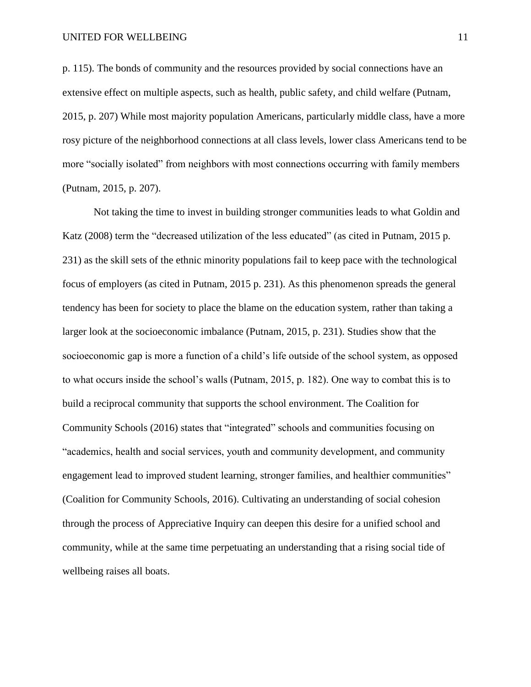p. 115). The bonds of community and the resources provided by social connections have an extensive effect on multiple aspects, such as health, public safety, and child welfare (Putnam, 2015, p. 207) While most majority population Americans, particularly middle class, have a more rosy picture of the neighborhood connections at all class levels, lower class Americans tend to be more "socially isolated" from neighbors with most connections occurring with family members (Putnam, 2015, p. 207).

Not taking the time to invest in building stronger communities leads to what Goldin and Katz (2008) term the "decreased utilization of the less educated" (as cited in Putnam, 2015 p. 231) as the skill sets of the ethnic minority populations fail to keep pace with the technological focus of employers (as cited in Putnam, 2015 p. 231). As this phenomenon spreads the general tendency has been for society to place the blame on the education system, rather than taking a larger look at the socioeconomic imbalance (Putnam, 2015, p. 231). Studies show that the socioeconomic gap is more a function of a child's life outside of the school system, as opposed to what occurs inside the school's walls (Putnam, 2015, p. 182). One way to combat this is to build a reciprocal community that supports the school environment. The Coalition for Community Schools (2016) states that "integrated" schools and communities focusing on "academics, health and social services, youth and community development, and community engagement lead to improved student learning, stronger families, and healthier communities" (Coalition for Community Schools, 2016). Cultivating an understanding of social cohesion through the process of Appreciative Inquiry can deepen this desire for a unified school and community, while at the same time perpetuating an understanding that a rising social tide of wellbeing raises all boats.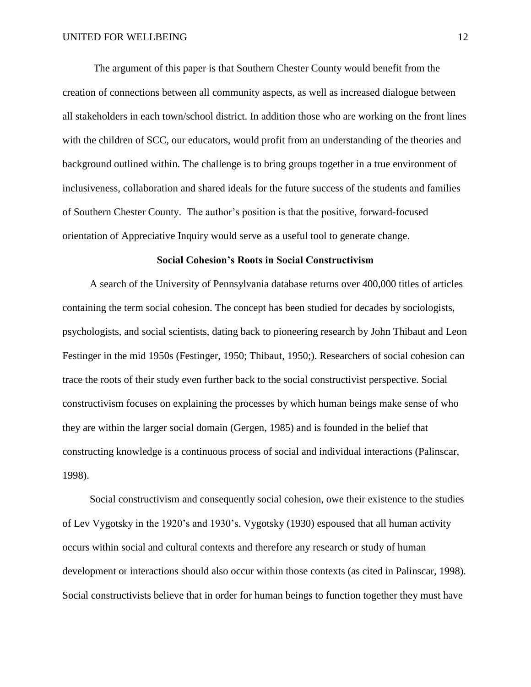The argument of this paper is that Southern Chester County would benefit from the creation of connections between all community aspects, as well as increased dialogue between all stakeholders in each town/school district. In addition those who are working on the front lines with the children of SCC, our educators, would profit from an understanding of the theories and background outlined within. The challenge is to bring groups together in a true environment of inclusiveness, collaboration and shared ideals for the future success of the students and families of Southern Chester County. The author's position is that the positive, forward-focused orientation of Appreciative Inquiry would serve as a useful tool to generate change.

## **Social Cohesion's Roots in Social Constructivism**

A search of the University of Pennsylvania database returns over 400,000 titles of articles containing the term social cohesion. The concept has been studied for decades by sociologists, psychologists, and social scientists, dating back to pioneering research by John Thibaut and Leon Festinger in the mid 1950s (Festinger, 1950; Thibaut, 1950;). Researchers of social cohesion can trace the roots of their study even further back to the social constructivist perspective. Social constructivism focuses on explaining the processes by which human beings make sense of who they are within the larger social domain (Gergen, 1985) and is founded in the belief that constructing knowledge is a continuous process of social and individual interactions (Palinscar, 1998).

Social constructivism and consequently social cohesion, owe their existence to the studies of Lev Vygotsky in the 1920's and 1930's. Vygotsky (1930) espoused that all human activity occurs within social and cultural contexts and therefore any research or study of human development or interactions should also occur within those contexts (as cited in Palinscar, 1998). Social constructivists believe that in order for human beings to function together they must have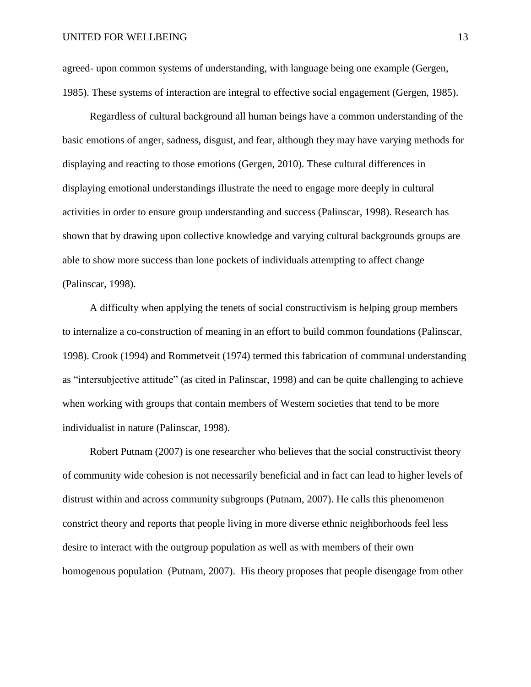agreed- upon common systems of understanding, with language being one example (Gergen, 1985). These systems of interaction are integral to effective social engagement (Gergen, 1985).

Regardless of cultural background all human beings have a common understanding of the basic emotions of anger, sadness, disgust, and fear, although they may have varying methods for displaying and reacting to those emotions (Gergen, 2010). These cultural differences in displaying emotional understandings illustrate the need to engage more deeply in cultural activities in order to ensure group understanding and success (Palinscar, 1998). Research has shown that by drawing upon collective knowledge and varying cultural backgrounds groups are able to show more success than lone pockets of individuals attempting to affect change (Palinscar, 1998).

A difficulty when applying the tenets of social constructivism is helping group members to internalize a co-construction of meaning in an effort to build common foundations (Palinscar, 1998). Crook (1994) and Rommetveit (1974) termed this fabrication of communal understanding as "intersubjective attitude" (as cited in Palinscar, 1998) and can be quite challenging to achieve when working with groups that contain members of Western societies that tend to be more individualist in nature (Palinscar, 1998).

Robert Putnam (2007) is one researcher who believes that the social constructivist theory of community wide cohesion is not necessarily beneficial and in fact can lead to higher levels of distrust within and across community subgroups (Putnam, 2007). He calls this phenomenon constrict theory and reports that people living in more diverse ethnic neighborhoods feel less desire to interact with the outgroup population as well as with members of their own homogenous population (Putnam, 2007). His theory proposes that people disengage from other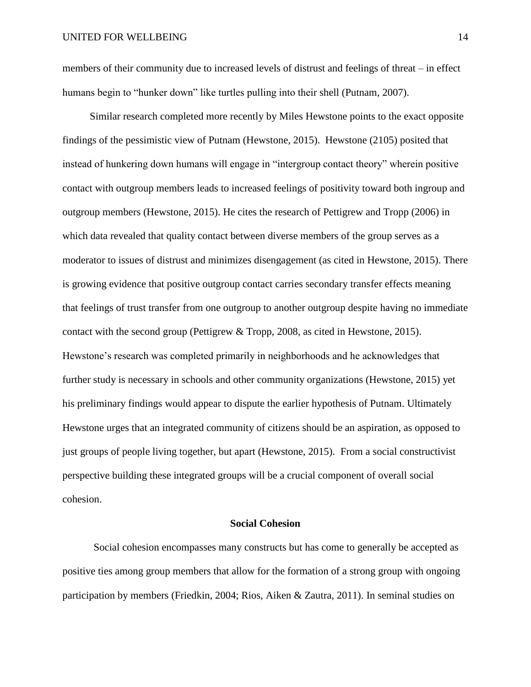members of their community due to increased levels of distrust and feelings of threat – in effect humans begin to "hunker down" like turtles pulling into their shell (Putnam, 2007).

Similar research completed more recently by Miles Hewstone points to the exact opposite findings of the pessimistic view of Putnam (Hewstone, 2015). Hewstone (2105) posited that instead of hunkering down humans will engage in "intergroup contact theory" wherein positive contact with outgroup members leads to increased feelings of positivity toward both ingroup and outgroup members (Hewstone, 2015). He cites the research of Pettigrew and Tropp (2006) in which data revealed that quality contact between diverse members of the group serves as a moderator to issues of distrust and minimizes disengagement (as cited in Hewstone, 2015). There is growing evidence that positive outgroup contact carries secondary transfer effects meaning that feelings of trust transfer from one outgroup to another outgroup despite having no immediate contact with the second group (Pettigrew & Tropp, 2008, as cited in Hewstone, 2015). Hewstone's research was completed primarily in neighborhoods and he acknowledges that further study is necessary in schools and other community organizations (Hewstone, 2015) yet his preliminary findings would appear to dispute the earlier hypothesis of Putnam. Ultimately Hewstone urges that an integrated community of citizens should be an aspiration, as opposed to just groups of people living together, but apart (Hewstone, 2015). From a social constructivist perspective building these integrated groups will be a crucial component of overall social cohesion.

## **Social Cohesion**

Social cohesion encompasses many constructs but has come to generally be accepted as positive ties among group members that allow for the formation of a strong group with ongoing participation by members (Friedkin, 2004; Rios, Aiken & Zautra, 2011). In seminal studies on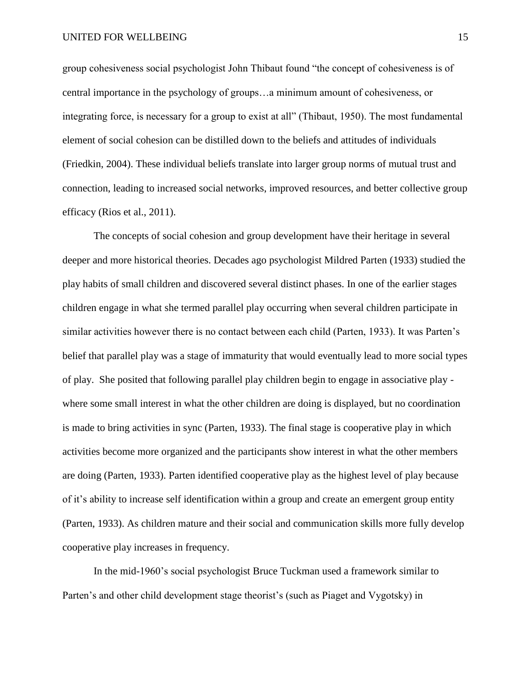group cohesiveness social psychologist John Thibaut found "the concept of cohesiveness is of central importance in the psychology of groups…a minimum amount of cohesiveness, or integrating force, is necessary for a group to exist at all" (Thibaut, 1950). The most fundamental element of social cohesion can be distilled down to the beliefs and attitudes of individuals (Friedkin, 2004). These individual beliefs translate into larger group norms of mutual trust and connection, leading to increased social networks, improved resources, and better collective group efficacy (Rios et al., 2011).

The concepts of social cohesion and group development have their heritage in several deeper and more historical theories. Decades ago psychologist Mildred Parten (1933) studied the play habits of small children and discovered several distinct phases. In one of the earlier stages children engage in what she termed parallel play occurring when several children participate in similar activities however there is no contact between each child (Parten, 1933). It was Parten's belief that parallel play was a stage of immaturity that would eventually lead to more social types of play. She posited that following parallel play children begin to engage in associative play where some small interest in what the other children are doing is displayed, but no coordination is made to bring activities in sync (Parten, 1933). The final stage is cooperative play in which activities become more organized and the participants show interest in what the other members are doing (Parten, 1933). Parten identified cooperative play as the highest level of play because of it's ability to increase self identification within a group and create an emergent group entity (Parten, 1933). As children mature and their social and communication skills more fully develop cooperative play increases in frequency.

In the mid-1960's social psychologist Bruce Tuckman used a framework similar to Parten's and other child development stage theorist's (such as Piaget and Vygotsky) in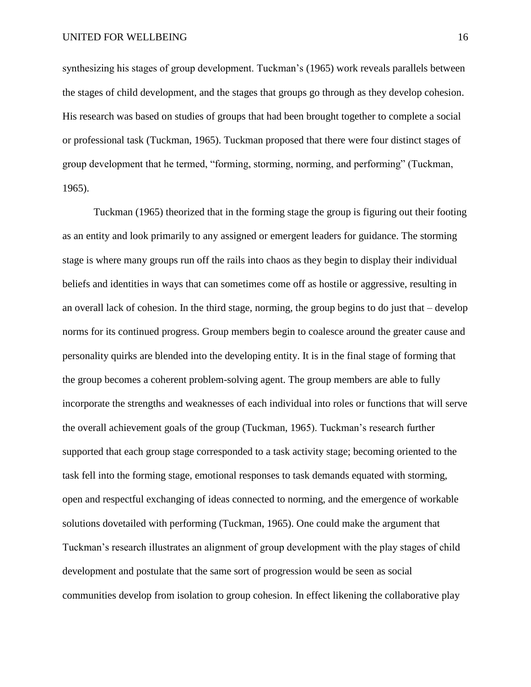synthesizing his stages of group development. Tuckman's (1965) work reveals parallels between the stages of child development, and the stages that groups go through as they develop cohesion. His research was based on studies of groups that had been brought together to complete a social or professional task (Tuckman, 1965). Tuckman proposed that there were four distinct stages of group development that he termed, "forming, storming, norming, and performing" (Tuckman, 1965).

Tuckman (1965) theorized that in the forming stage the group is figuring out their footing as an entity and look primarily to any assigned or emergent leaders for guidance. The storming stage is where many groups run off the rails into chaos as they begin to display their individual beliefs and identities in ways that can sometimes come off as hostile or aggressive, resulting in an overall lack of cohesion. In the third stage, norming, the group begins to do just that – develop norms for its continued progress. Group members begin to coalesce around the greater cause and personality quirks are blended into the developing entity. It is in the final stage of forming that the group becomes a coherent problem-solving agent. The group members are able to fully incorporate the strengths and weaknesses of each individual into roles or functions that will serve the overall achievement goals of the group (Tuckman, 1965). Tuckman's research further supported that each group stage corresponded to a task activity stage; becoming oriented to the task fell into the forming stage, emotional responses to task demands equated with storming, open and respectful exchanging of ideas connected to norming, and the emergence of workable solutions dovetailed with performing (Tuckman, 1965). One could make the argument that Tuckman's research illustrates an alignment of group development with the play stages of child development and postulate that the same sort of progression would be seen as social communities develop from isolation to group cohesion. In effect likening the collaborative play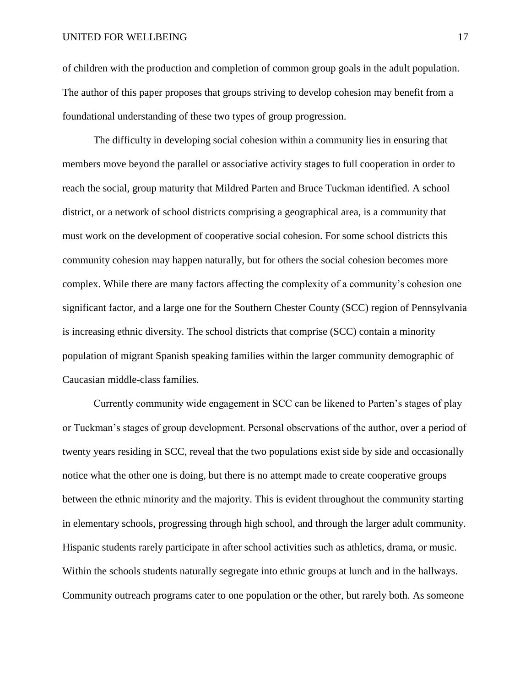#### UNITED FOR WELLBEING 17

of children with the production and completion of common group goals in the adult population. The author of this paper proposes that groups striving to develop cohesion may benefit from a foundational understanding of these two types of group progression.

The difficulty in developing social cohesion within a community lies in ensuring that members move beyond the parallel or associative activity stages to full cooperation in order to reach the social, group maturity that Mildred Parten and Bruce Tuckman identified. A school district, or a network of school districts comprising a geographical area, is a community that must work on the development of cooperative social cohesion. For some school districts this community cohesion may happen naturally, but for others the social cohesion becomes more complex. While there are many factors affecting the complexity of a community's cohesion one significant factor, and a large one for the Southern Chester County (SCC) region of Pennsylvania is increasing ethnic diversity. The school districts that comprise (SCC) contain a minority population of migrant Spanish speaking families within the larger community demographic of Caucasian middle-class families.

Currently community wide engagement in SCC can be likened to Parten's stages of play or Tuckman's stages of group development. Personal observations of the author, over a period of twenty years residing in SCC, reveal that the two populations exist side by side and occasionally notice what the other one is doing, but there is no attempt made to create cooperative groups between the ethnic minority and the majority. This is evident throughout the community starting in elementary schools, progressing through high school, and through the larger adult community. Hispanic students rarely participate in after school activities such as athletics, drama, or music. Within the schools students naturally segregate into ethnic groups at lunch and in the hallways. Community outreach programs cater to one population or the other, but rarely both. As someone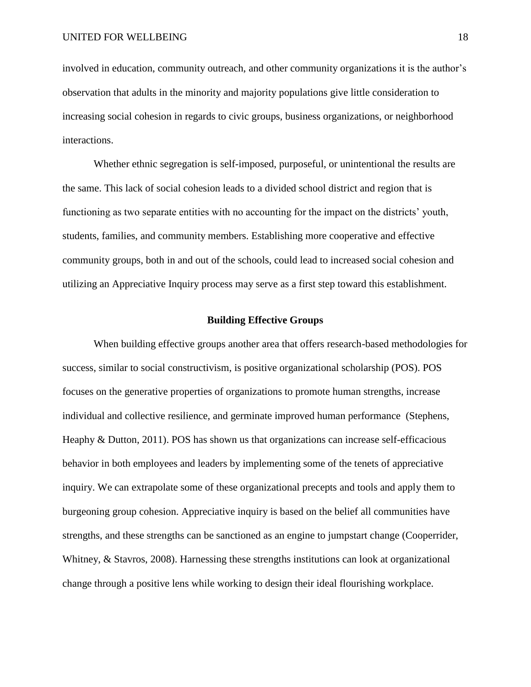involved in education, community outreach, and other community organizations it is the author's observation that adults in the minority and majority populations give little consideration to increasing social cohesion in regards to civic groups, business organizations, or neighborhood interactions.

Whether ethnic segregation is self-imposed, purposeful, or unintentional the results are the same. This lack of social cohesion leads to a divided school district and region that is functioning as two separate entities with no accounting for the impact on the districts' youth, students, families, and community members. Establishing more cooperative and effective community groups, both in and out of the schools, could lead to increased social cohesion and utilizing an Appreciative Inquiry process may serve as a first step toward this establishment.

## **Building Effective Groups**

When building effective groups another area that offers research-based methodologies for success, similar to social constructivism, is positive organizational scholarship (POS). POS focuses on the generative properties of organizations to promote human strengths, increase individual and collective resilience, and germinate improved human performance (Stephens, Heaphy & Dutton, 2011). POS has shown us that organizations can increase self-efficacious behavior in both employees and leaders by implementing some of the tenets of appreciative inquiry. We can extrapolate some of these organizational precepts and tools and apply them to burgeoning group cohesion. Appreciative inquiry is based on the belief all communities have strengths, and these strengths can be sanctioned as an engine to jumpstart change (Cooperrider, Whitney, & Stavros, 2008). Harnessing these strengths institutions can look at organizational change through a positive lens while working to design their ideal flourishing workplace.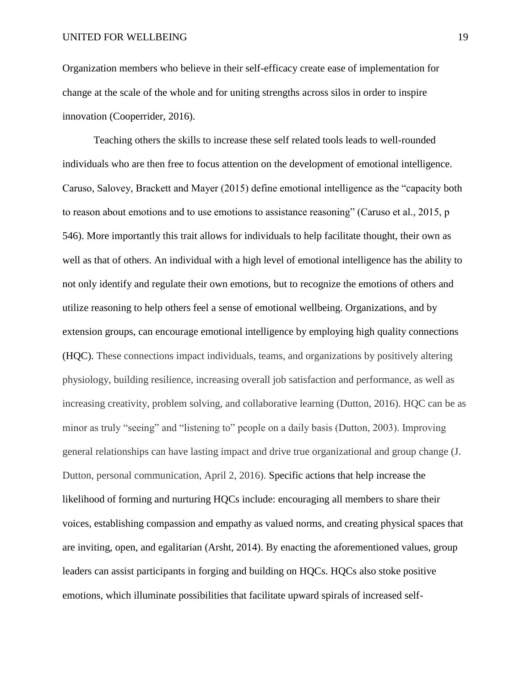Organization members who believe in their self-efficacy create ease of implementation for change at the scale of the whole and for uniting strengths across silos in order to inspire innovation (Cooperrider, 2016).

Teaching others the skills to increase these self related tools leads to well-rounded individuals who are then free to focus attention on the development of emotional intelligence. Caruso, Salovey, Brackett and Mayer (2015) define emotional intelligence as the "capacity both to reason about emotions and to use emotions to assistance reasoning" (Caruso et al., 2015, p 546). More importantly this trait allows for individuals to help facilitate thought, their own as well as that of others. An individual with a high level of emotional intelligence has the ability to not only identify and regulate their own emotions, but to recognize the emotions of others and utilize reasoning to help others feel a sense of emotional wellbeing. Organizations, and by extension groups, can encourage emotional intelligence by employing high quality connections (HQC). These connections impact individuals, teams, and organizations by positively altering physiology, building resilience, increasing overall job satisfaction and performance, as well as increasing creativity, problem solving, and collaborative learning (Dutton, 2016). HQC can be as minor as truly "seeing" and "listening to" people on a daily basis (Dutton, 2003). Improving general relationships can have lasting impact and drive true organizational and group change (J. Dutton, personal communication, April 2, 2016). Specific actions that help increase the likelihood of forming and nurturing HQCs include: encouraging all members to share their voices, establishing compassion and empathy as valued norms, and creating physical spaces that are inviting, open, and egalitarian (Arsht, 2014). By enacting the aforementioned values, group leaders can assist participants in forging and building on HQCs. HQCs also stoke positive emotions, which illuminate possibilities that facilitate upward spirals of increased self-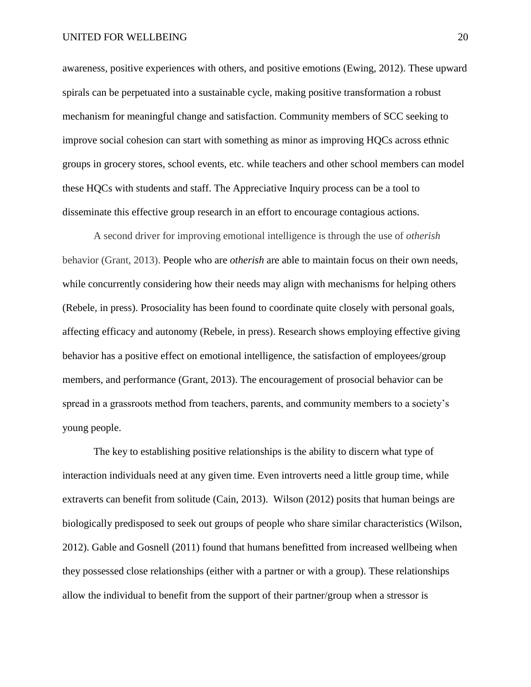#### UNITED FOR WELLBEING 20

awareness, positive experiences with others, and positive emotions (Ewing, 2012). These upward spirals can be perpetuated into a sustainable cycle, making positive transformation a robust mechanism for meaningful change and satisfaction. Community members of SCC seeking to improve social cohesion can start with something as minor as improving HQCs across ethnic groups in grocery stores, school events, etc. while teachers and other school members can model these HQCs with students and staff. The Appreciative Inquiry process can be a tool to disseminate this effective group research in an effort to encourage contagious actions.

A second driver for improving emotional intelligence is through the use of *otherish*  behavior (Grant, 2013). People who are *otherish* are able to maintain focus on their own needs, while concurrently considering how their needs may align with mechanisms for helping others (Rebele, in press). Prosociality has been found to coordinate quite closely with personal goals, affecting efficacy and autonomy (Rebele, in press). Research shows employing effective giving behavior has a positive effect on emotional intelligence, the satisfaction of employees/group members, and performance (Grant, 2013). The encouragement of prosocial behavior can be spread in a grassroots method from teachers, parents, and community members to a society's young people.

The key to establishing positive relationships is the ability to discern what type of interaction individuals need at any given time. Even introverts need a little group time, while extraverts can benefit from solitude (Cain, 2013). Wilson (2012) posits that human beings are biologically predisposed to seek out groups of people who share similar characteristics (Wilson, 2012). Gable and Gosnell (2011) found that humans benefitted from increased wellbeing when they possessed close relationships (either with a partner or with a group). These relationships allow the individual to benefit from the support of their partner/group when a stressor is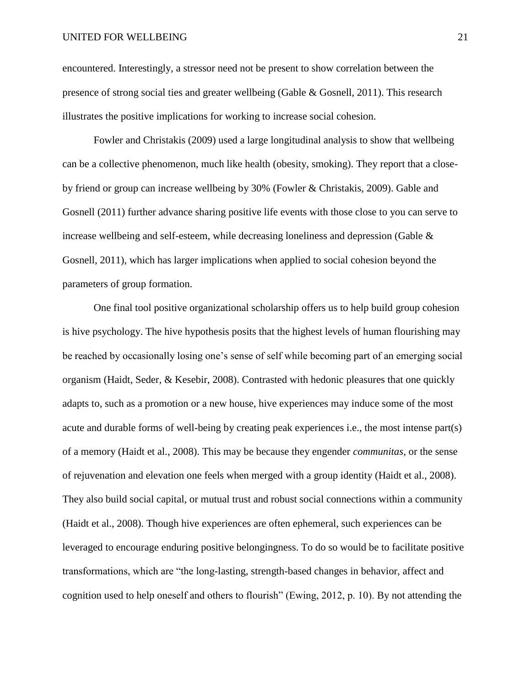#### UNITED FOR WELLBEING 21

encountered. Interestingly, a stressor need not be present to show correlation between the presence of strong social ties and greater wellbeing (Gable & Gosnell, 2011). This research illustrates the positive implications for working to increase social cohesion.

Fowler and Christakis (2009) used a large longitudinal analysis to show that wellbeing can be a collective phenomenon, much like health (obesity, smoking). They report that a closeby friend or group can increase wellbeing by 30% (Fowler & Christakis, 2009). Gable and Gosnell (2011) further advance sharing positive life events with those close to you can serve to increase wellbeing and self-esteem, while decreasing loneliness and depression (Gable & Gosnell, 2011), which has larger implications when applied to social cohesion beyond the parameters of group formation.

One final tool positive organizational scholarship offers us to help build group cohesion is hive psychology. The hive hypothesis posits that the highest levels of human flourishing may be reached by occasionally losing one's sense of self while becoming part of an emerging social organism (Haidt, Seder, & Kesebir, 2008). Contrasted with hedonic pleasures that one quickly adapts to, such as a promotion or a new house, hive experiences may induce some of the most acute and durable forms of well-being by creating peak experiences i.e., the most intense part(s) of a memory (Haidt et al., 2008). This may be because they engender *communitas*, or the sense of rejuvenation and elevation one feels when merged with a group identity (Haidt et al., 2008). They also build social capital, or mutual trust and robust social connections within a community (Haidt et al., 2008). Though hive experiences are often ephemeral, such experiences can be leveraged to encourage enduring positive belongingness. To do so would be to facilitate positive transformations, which are "the long-lasting, strength-based changes in behavior, affect and cognition used to help oneself and others to flourish" (Ewing, 2012, p. 10). By not attending the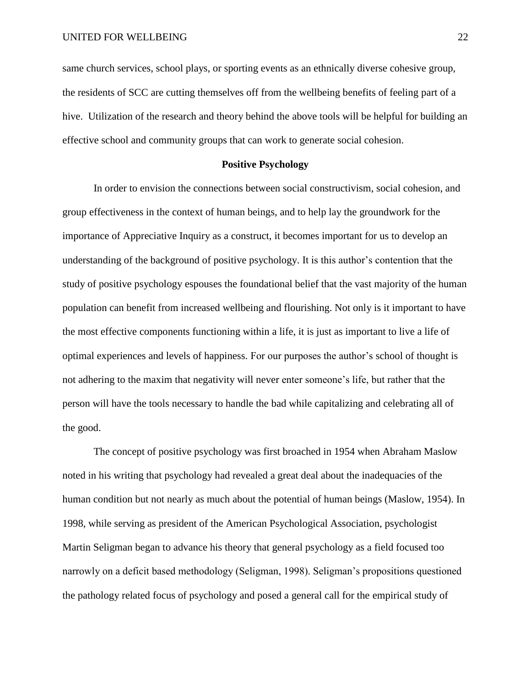same church services, school plays, or sporting events as an ethnically diverse cohesive group, the residents of SCC are cutting themselves off from the wellbeing benefits of feeling part of a hive. Utilization of the research and theory behind the above tools will be helpful for building an effective school and community groups that can work to generate social cohesion.

## **Positive Psychology**

In order to envision the connections between social constructivism, social cohesion, and group effectiveness in the context of human beings, and to help lay the groundwork for the importance of Appreciative Inquiry as a construct, it becomes important for us to develop an understanding of the background of positive psychology. It is this author's contention that the study of positive psychology espouses the foundational belief that the vast majority of the human population can benefit from increased wellbeing and flourishing. Not only is it important to have the most effective components functioning within a life, it is just as important to live a life of optimal experiences and levels of happiness. For our purposes the author's school of thought is not adhering to the maxim that negativity will never enter someone's life, but rather that the person will have the tools necessary to handle the bad while capitalizing and celebrating all of the good.

The concept of positive psychology was first broached in 1954 when Abraham Maslow noted in his writing that psychology had revealed a great deal about the inadequacies of the human condition but not nearly as much about the potential of human beings (Maslow, 1954). In 1998, while serving as president of the American Psychological Association, psychologist Martin Seligman began to advance his theory that general psychology as a field focused too narrowly on a deficit based methodology (Seligman, 1998). Seligman's propositions questioned the pathology related focus of psychology and posed a general call for the empirical study of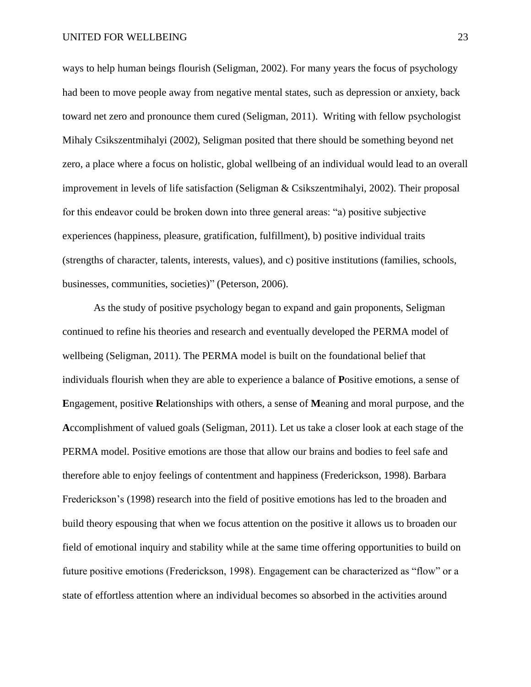ways to help human beings flourish (Seligman, 2002). For many years the focus of psychology had been to move people away from negative mental states, such as depression or anxiety, back toward net zero and pronounce them cured (Seligman, 2011). Writing with fellow psychologist Mihaly Csikszentmihalyi (2002), Seligman posited that there should be something beyond net zero, a place where a focus on holistic, global wellbeing of an individual would lead to an overall improvement in levels of life satisfaction (Seligman & Csikszentmihalyi, 2002). Their proposal for this endeavor could be broken down into three general areas: "a) positive subjective experiences (happiness, pleasure, gratification, fulfillment), b) positive individual traits (strengths of character, talents, interests, values), and c) positive institutions (families, schools, businesses, communities, societies)" (Peterson, 2006).

As the study of positive psychology began to expand and gain proponents, Seligman continued to refine his theories and research and eventually developed the PERMA model of wellbeing (Seligman, 2011). The PERMA model is built on the foundational belief that individuals flourish when they are able to experience a balance of **P**ositive emotions, a sense of **E**ngagement, positive **R**elationships with others, a sense of **M**eaning and moral purpose, and the **A**ccomplishment of valued goals (Seligman, 2011). Let us take a closer look at each stage of the PERMA model. Positive emotions are those that allow our brains and bodies to feel safe and therefore able to enjoy feelings of contentment and happiness (Frederickson, 1998). Barbara Frederickson's (1998) research into the field of positive emotions has led to the broaden and build theory espousing that when we focus attention on the positive it allows us to broaden our field of emotional inquiry and stability while at the same time offering opportunities to build on future positive emotions (Frederickson, 1998). Engagement can be characterized as "flow" or a state of effortless attention where an individual becomes so absorbed in the activities around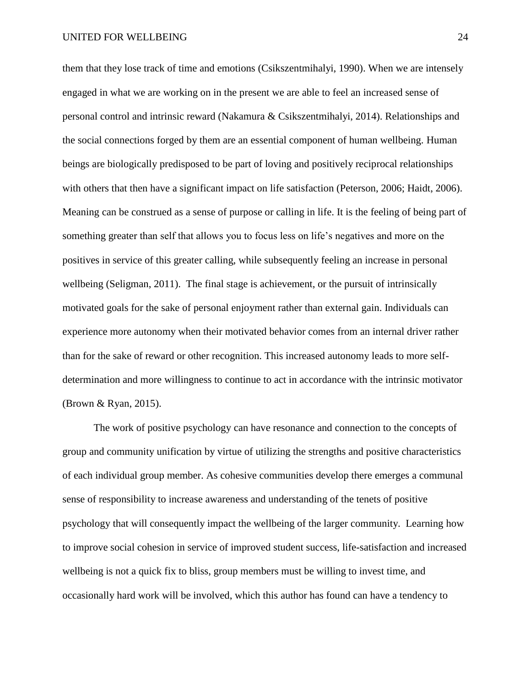them that they lose track of time and emotions (Csikszentmihalyi, 1990). When we are intensely engaged in what we are working on in the present we are able to feel an increased sense of personal control and intrinsic reward (Nakamura & Csikszentmihalyi, 2014). Relationships and the social connections forged by them are an essential component of human wellbeing. Human beings are biologically predisposed to be part of loving and positively reciprocal relationships with others that then have a significant impact on life satisfaction (Peterson, 2006; Haidt, 2006). Meaning can be construed as a sense of purpose or calling in life. It is the feeling of being part of something greater than self that allows you to focus less on life's negatives and more on the positives in service of this greater calling, while subsequently feeling an increase in personal wellbeing (Seligman, 2011). The final stage is achievement, or the pursuit of intrinsically motivated goals for the sake of personal enjoyment rather than external gain. Individuals can experience more autonomy when their motivated behavior comes from an internal driver rather than for the sake of reward or other recognition. This increased autonomy leads to more selfdetermination and more willingness to continue to act in accordance with the intrinsic motivator (Brown & Ryan, 2015).

The work of positive psychology can have resonance and connection to the concepts of group and community unification by virtue of utilizing the strengths and positive characteristics of each individual group member. As cohesive communities develop there emerges a communal sense of responsibility to increase awareness and understanding of the tenets of positive psychology that will consequently impact the wellbeing of the larger community. Learning how to improve social cohesion in service of improved student success, life-satisfaction and increased wellbeing is not a quick fix to bliss, group members must be willing to invest time, and occasionally hard work will be involved, which this author has found can have a tendency to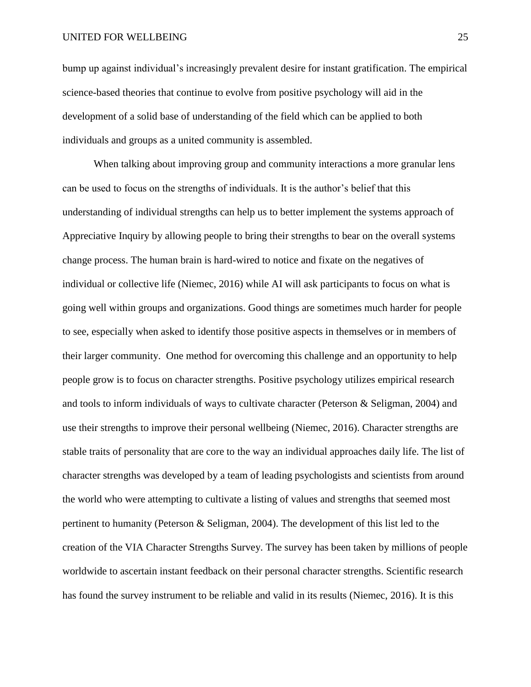bump up against individual's increasingly prevalent desire for instant gratification. The empirical science-based theories that continue to evolve from positive psychology will aid in the development of a solid base of understanding of the field which can be applied to both individuals and groups as a united community is assembled.

When talking about improving group and community interactions a more granular lens can be used to focus on the strengths of individuals. It is the author's belief that this understanding of individual strengths can help us to better implement the systems approach of Appreciative Inquiry by allowing people to bring their strengths to bear on the overall systems change process. The human brain is hard-wired to notice and fixate on the negatives of individual or collective life (Niemec, 2016) while AI will ask participants to focus on what is going well within groups and organizations. Good things are sometimes much harder for people to see, especially when asked to identify those positive aspects in themselves or in members of their larger community. One method for overcoming this challenge and an opportunity to help people grow is to focus on character strengths. Positive psychology utilizes empirical research and tools to inform individuals of ways to cultivate character (Peterson & Seligman, 2004) and use their strengths to improve their personal wellbeing (Niemec, 2016). Character strengths are stable traits of personality that are core to the way an individual approaches daily life. The list of character strengths was developed by a team of leading psychologists and scientists from around the world who were attempting to cultivate a listing of values and strengths that seemed most pertinent to humanity (Peterson & Seligman, 2004). The development of this list led to the creation of the VIA Character Strengths Survey. The survey has been taken by millions of people worldwide to ascertain instant feedback on their personal character strengths. Scientific research has found the survey instrument to be reliable and valid in its results (Niemec, 2016). It is this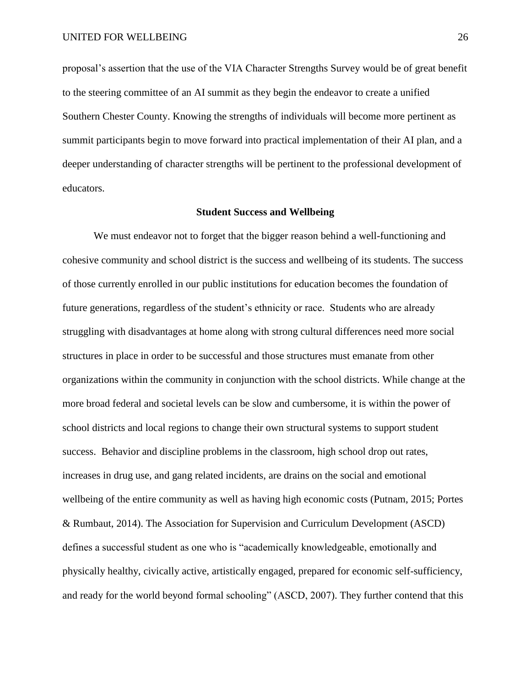proposal's assertion that the use of the VIA Character Strengths Survey would be of great benefit to the steering committee of an AI summit as they begin the endeavor to create a unified Southern Chester County. Knowing the strengths of individuals will become more pertinent as summit participants begin to move forward into practical implementation of their AI plan, and a deeper understanding of character strengths will be pertinent to the professional development of educators.

#### **Student Success and Wellbeing**

We must endeavor not to forget that the bigger reason behind a well-functioning and cohesive community and school district is the success and wellbeing of its students. The success of those currently enrolled in our public institutions for education becomes the foundation of future generations, regardless of the student's ethnicity or race. Students who are already struggling with disadvantages at home along with strong cultural differences need more social structures in place in order to be successful and those structures must emanate from other organizations within the community in conjunction with the school districts. While change at the more broad federal and societal levels can be slow and cumbersome, it is within the power of school districts and local regions to change their own structural systems to support student success. Behavior and discipline problems in the classroom, high school drop out rates, increases in drug use, and gang related incidents, are drains on the social and emotional wellbeing of the entire community as well as having high economic costs (Putnam, 2015; Portes & Rumbaut, 2014). The Association for Supervision and Curriculum Development (ASCD) defines a successful student as one who is "academically knowledgeable, emotionally and physically healthy, civically active, artistically engaged, prepared for economic self-sufficiency, and ready for the world beyond formal schooling" (ASCD, 2007). They further contend that this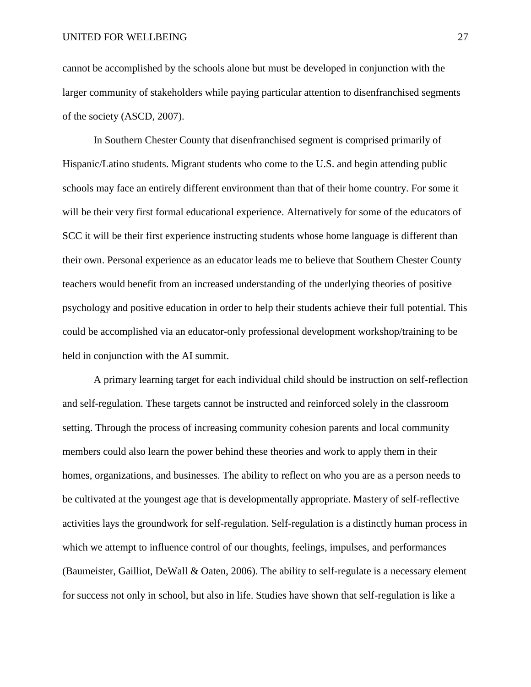cannot be accomplished by the schools alone but must be developed in conjunction with the larger community of stakeholders while paying particular attention to disenfranchised segments of the society (ASCD, 2007).

In Southern Chester County that disenfranchised segment is comprised primarily of Hispanic/Latino students. Migrant students who come to the U.S. and begin attending public schools may face an entirely different environment than that of their home country. For some it will be their very first formal educational experience. Alternatively for some of the educators of SCC it will be their first experience instructing students whose home language is different than their own. Personal experience as an educator leads me to believe that Southern Chester County teachers would benefit from an increased understanding of the underlying theories of positive psychology and positive education in order to help their students achieve their full potential. This could be accomplished via an educator-only professional development workshop/training to be held in conjunction with the AI summit.

A primary learning target for each individual child should be instruction on self-reflection and self-regulation. These targets cannot be instructed and reinforced solely in the classroom setting. Through the process of increasing community cohesion parents and local community members could also learn the power behind these theories and work to apply them in their homes, organizations, and businesses. The ability to reflect on who you are as a person needs to be cultivated at the youngest age that is developmentally appropriate. Mastery of self-reflective activities lays the groundwork for self-regulation. Self-regulation is a distinctly human process in which we attempt to influence control of our thoughts, feelings, impulses, and performances (Baumeister, Gailliot, DeWall & Oaten, 2006). The ability to self-regulate is a necessary element for success not only in school, but also in life. Studies have shown that self-regulation is like a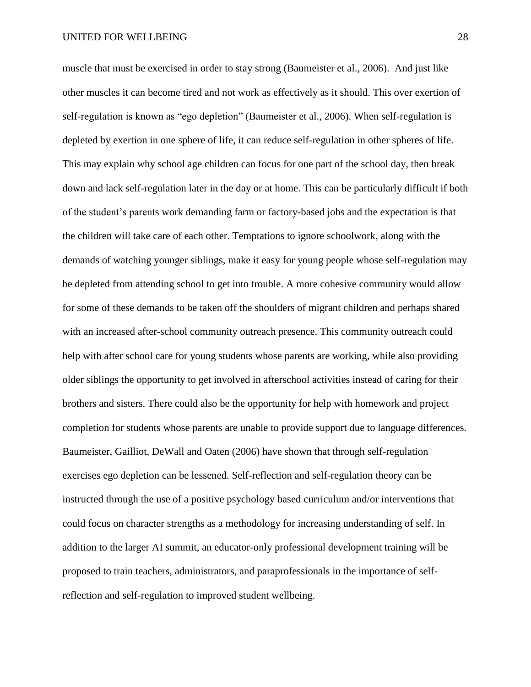muscle that must be exercised in order to stay strong (Baumeister et al., 2006). And just like other muscles it can become tired and not work as effectively as it should. This over exertion of self-regulation is known as "ego depletion" (Baumeister et al., 2006). When self-regulation is depleted by exertion in one sphere of life, it can reduce self-regulation in other spheres of life. This may explain why school age children can focus for one part of the school day, then break down and lack self-regulation later in the day or at home. This can be particularly difficult if both of the student's parents work demanding farm or factory-based jobs and the expectation is that the children will take care of each other. Temptations to ignore schoolwork, along with the demands of watching younger siblings, make it easy for young people whose self-regulation may be depleted from attending school to get into trouble. A more cohesive community would allow for some of these demands to be taken off the shoulders of migrant children and perhaps shared with an increased after-school community outreach presence. This community outreach could help with after school care for young students whose parents are working, while also providing older siblings the opportunity to get involved in afterschool activities instead of caring for their brothers and sisters. There could also be the opportunity for help with homework and project completion for students whose parents are unable to provide support due to language differences. Baumeister, Gailliot, DeWall and Oaten (2006) have shown that through self-regulation exercises ego depletion can be lessened. Self-reflection and self-regulation theory can be instructed through the use of a positive psychology based curriculum and/or interventions that could focus on character strengths as a methodology for increasing understanding of self. In addition to the larger AI summit, an educator-only professional development training will be proposed to train teachers, administrators, and paraprofessionals in the importance of selfreflection and self-regulation to improved student wellbeing.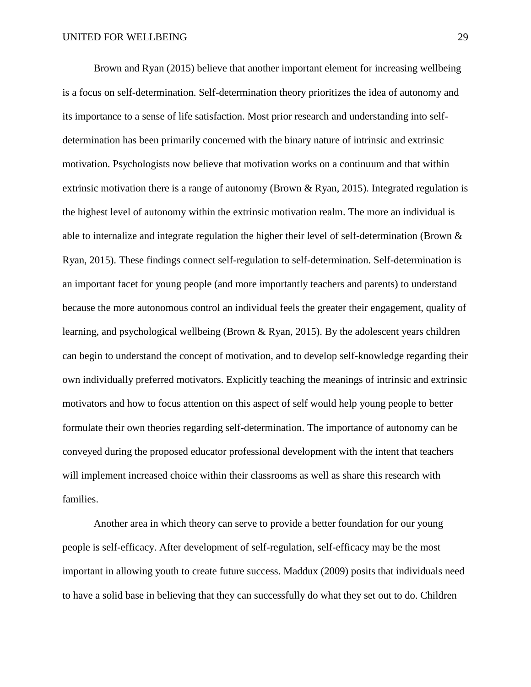Brown and Ryan (2015) believe that another important element for increasing wellbeing is a focus on self-determination. Self-determination theory prioritizes the idea of autonomy and its importance to a sense of life satisfaction. Most prior research and understanding into selfdetermination has been primarily concerned with the binary nature of intrinsic and extrinsic motivation. Psychologists now believe that motivation works on a continuum and that within extrinsic motivation there is a range of autonomy (Brown & Ryan, 2015). Integrated regulation is the highest level of autonomy within the extrinsic motivation realm. The more an individual is able to internalize and integrate regulation the higher their level of self-determination (Brown & Ryan, 2015). These findings connect self-regulation to self-determination. Self-determination is an important facet for young people (and more importantly teachers and parents) to understand because the more autonomous control an individual feels the greater their engagement, quality of learning, and psychological wellbeing (Brown & Ryan, 2015). By the adolescent years children can begin to understand the concept of motivation, and to develop self-knowledge regarding their own individually preferred motivators. Explicitly teaching the meanings of intrinsic and extrinsic motivators and how to focus attention on this aspect of self would help young people to better formulate their own theories regarding self-determination. The importance of autonomy can be conveyed during the proposed educator professional development with the intent that teachers will implement increased choice within their classrooms as well as share this research with families.

Another area in which theory can serve to provide a better foundation for our young people is self-efficacy. After development of self-regulation, self-efficacy may be the most important in allowing youth to create future success. Maddux (2009) posits that individuals need to have a solid base in believing that they can successfully do what they set out to do. Children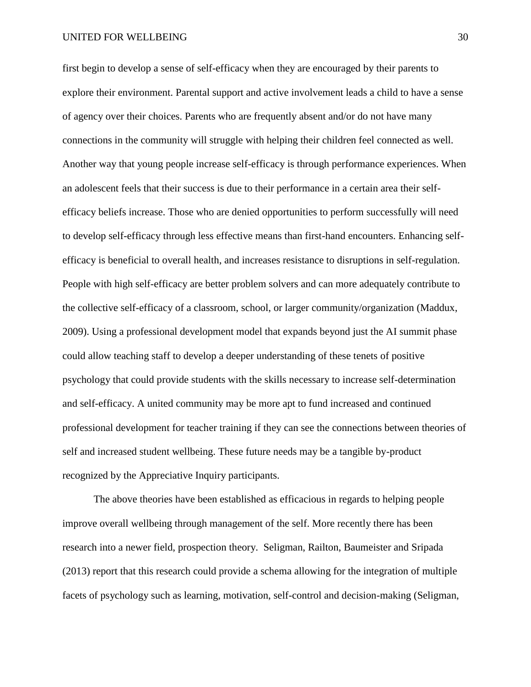#### UNITED FOR WELLBEING 30

first begin to develop a sense of self-efficacy when they are encouraged by their parents to explore their environment. Parental support and active involvement leads a child to have a sense of agency over their choices. Parents who are frequently absent and/or do not have many connections in the community will struggle with helping their children feel connected as well. Another way that young people increase self-efficacy is through performance experiences. When an adolescent feels that their success is due to their performance in a certain area their selfefficacy beliefs increase. Those who are denied opportunities to perform successfully will need to develop self-efficacy through less effective means than first-hand encounters. Enhancing selfefficacy is beneficial to overall health, and increases resistance to disruptions in self-regulation. People with high self-efficacy are better problem solvers and can more adequately contribute to the collective self-efficacy of a classroom, school, or larger community/organization (Maddux, 2009). Using a professional development model that expands beyond just the AI summit phase could allow teaching staff to develop a deeper understanding of these tenets of positive psychology that could provide students with the skills necessary to increase self-determination and self-efficacy. A united community may be more apt to fund increased and continued professional development for teacher training if they can see the connections between theories of self and increased student wellbeing. These future needs may be a tangible by-product recognized by the Appreciative Inquiry participants.

The above theories have been established as efficacious in regards to helping people improve overall wellbeing through management of the self. More recently there has been research into a newer field, prospection theory. Seligman, Railton, Baumeister and Sripada (2013) report that this research could provide a schema allowing for the integration of multiple facets of psychology such as learning, motivation, self-control and decision-making (Seligman,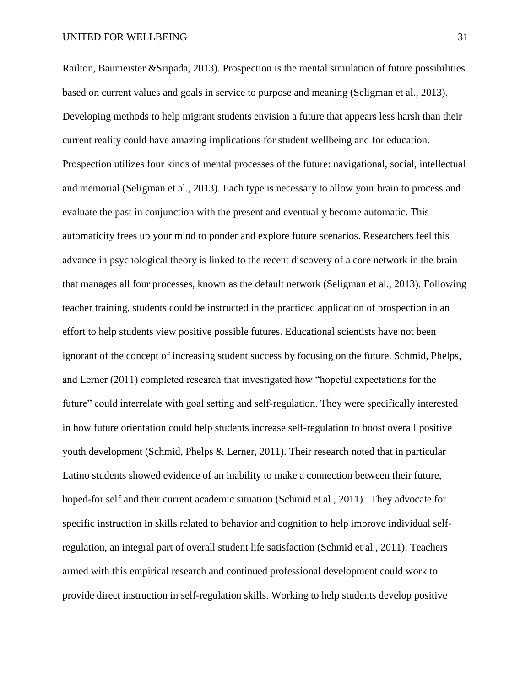Railton, Baumeister &Sripada, 2013). Prospection is the mental simulation of future possibilities based on current values and goals in service to purpose and meaning (Seligman et al., 2013). Developing methods to help migrant students envision a future that appears less harsh than their current reality could have amazing implications for student wellbeing and for education. Prospection utilizes four kinds of mental processes of the future: navigational, social, intellectual and memorial (Seligman et al., 2013). Each type is necessary to allow your brain to process and evaluate the past in conjunction with the present and eventually become automatic. This automaticity frees up your mind to ponder and explore future scenarios. Researchers feel this advance in psychological theory is linked to the recent discovery of a core network in the brain that manages all four processes, known as the default network (Seligman et al., 2013). Following teacher training, students could be instructed in the practiced application of prospection in an effort to help students view positive possible futures. Educational scientists have not been ignorant of the concept of increasing student success by focusing on the future. Schmid, Phelps, and Lerner (2011) completed research that investigated how "hopeful expectations for the future" could interrelate with goal setting and self-regulation. They were specifically interested in how future orientation could help students increase self-regulation to boost overall positive youth development (Schmid, Phelps & Lerner, 2011). Their research noted that in particular Latino students showed evidence of an inability to make a connection between their future, hoped-for self and their current academic situation (Schmid et al., 2011). They advocate for specific instruction in skills related to behavior and cognition to help improve individual selfregulation, an integral part of overall student life satisfaction (Schmid et al., 2011). Teachers armed with this empirical research and continued professional development could work to provide direct instruction in self-regulation skills. Working to help students develop positive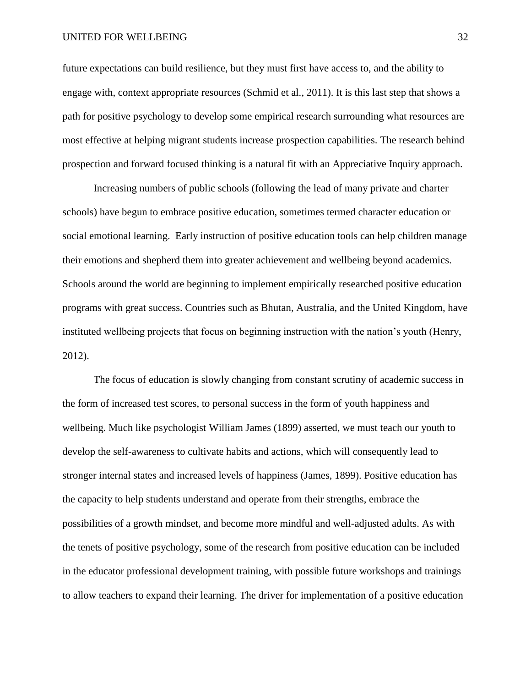#### UNITED FOR WELLBEING 32

future expectations can build resilience, but they must first have access to, and the ability to engage with, context appropriate resources (Schmid et al., 2011). It is this last step that shows a path for positive psychology to develop some empirical research surrounding what resources are most effective at helping migrant students increase prospection capabilities. The research behind prospection and forward focused thinking is a natural fit with an Appreciative Inquiry approach.

Increasing numbers of public schools (following the lead of many private and charter schools) have begun to embrace positive education, sometimes termed character education or social emotional learning. Early instruction of positive education tools can help children manage their emotions and shepherd them into greater achievement and wellbeing beyond academics. Schools around the world are beginning to implement empirically researched positive education programs with great success. Countries such as Bhutan, Australia, and the United Kingdom, have instituted wellbeing projects that focus on beginning instruction with the nation's youth (Henry, 2012).

The focus of education is slowly changing from constant scrutiny of academic success in the form of increased test scores, to personal success in the form of youth happiness and wellbeing. Much like psychologist William James (1899) asserted, we must teach our youth to develop the self-awareness to cultivate habits and actions, which will consequently lead to stronger internal states and increased levels of happiness (James, 1899). Positive education has the capacity to help students understand and operate from their strengths, embrace the possibilities of a growth mindset, and become more mindful and well-adjusted adults. As with the tenets of positive psychology, some of the research from positive education can be included in the educator professional development training, with possible future workshops and trainings to allow teachers to expand their learning. The driver for implementation of a positive education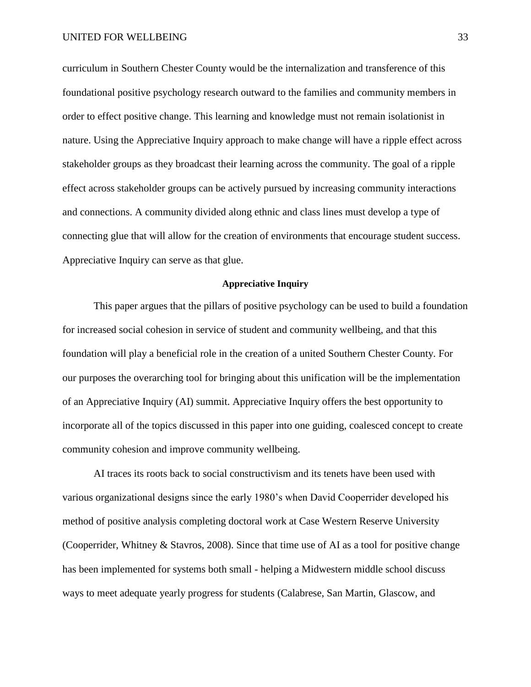curriculum in Southern Chester County would be the internalization and transference of this foundational positive psychology research outward to the families and community members in order to effect positive change. This learning and knowledge must not remain isolationist in nature. Using the Appreciative Inquiry approach to make change will have a ripple effect across stakeholder groups as they broadcast their learning across the community. The goal of a ripple effect across stakeholder groups can be actively pursued by increasing community interactions and connections. A community divided along ethnic and class lines must develop a type of connecting glue that will allow for the creation of environments that encourage student success. Appreciative Inquiry can serve as that glue.

## **Appreciative Inquiry**

This paper argues that the pillars of positive psychology can be used to build a foundation for increased social cohesion in service of student and community wellbeing, and that this foundation will play a beneficial role in the creation of a united Southern Chester County. For our purposes the overarching tool for bringing about this unification will be the implementation of an Appreciative Inquiry (AI) summit. Appreciative Inquiry offers the best opportunity to incorporate all of the topics discussed in this paper into one guiding, coalesced concept to create community cohesion and improve community wellbeing.

AI traces its roots back to social constructivism and its tenets have been used with various organizational designs since the early 1980's when David Cooperrider developed his method of positive analysis completing doctoral work at Case Western Reserve University (Cooperrider, Whitney & Stavros, 2008). Since that time use of AI as a tool for positive change has been implemented for systems both small - helping a Midwestern middle school discuss ways to meet adequate yearly progress for students (Calabrese, San Martin, Glascow, and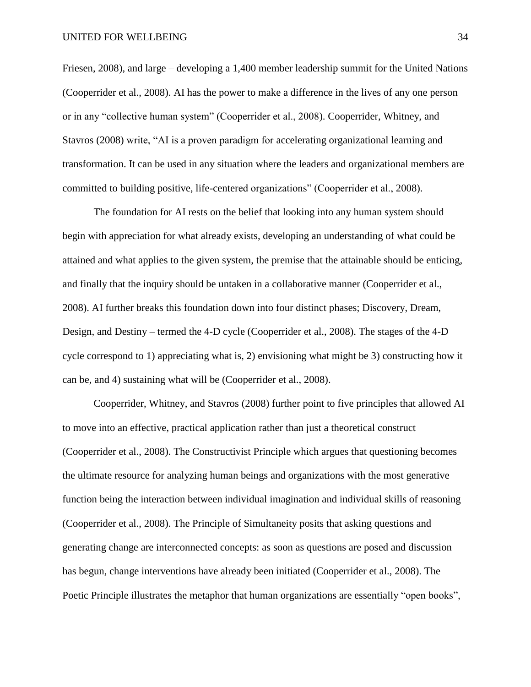Friesen, 2008), and large – developing a 1,400 member leadership summit for the United Nations (Cooperrider et al., 2008). AI has the power to make a difference in the lives of any one person or in any "collective human system" (Cooperrider et al., 2008). Cooperrider, Whitney, and Stavros (2008) write, "AI is a proven paradigm for accelerating organizational learning and transformation. It can be used in any situation where the leaders and organizational members are committed to building positive, life-centered organizations" (Cooperrider et al., 2008).

The foundation for AI rests on the belief that looking into any human system should begin with appreciation for what already exists, developing an understanding of what could be attained and what applies to the given system, the premise that the attainable should be enticing, and finally that the inquiry should be untaken in a collaborative manner (Cooperrider et al., 2008). AI further breaks this foundation down into four distinct phases; Discovery, Dream, Design, and Destiny – termed the 4-D cycle (Cooperrider et al., 2008). The stages of the 4-D cycle correspond to 1) appreciating what is, 2) envisioning what might be 3) constructing how it can be, and 4) sustaining what will be (Cooperrider et al., 2008).

Cooperrider, Whitney, and Stavros (2008) further point to five principles that allowed AI to move into an effective, practical application rather than just a theoretical construct (Cooperrider et al., 2008). The Constructivist Principle which argues that questioning becomes the ultimate resource for analyzing human beings and organizations with the most generative function being the interaction between individual imagination and individual skills of reasoning (Cooperrider et al., 2008). The Principle of Simultaneity posits that asking questions and generating change are interconnected concepts: as soon as questions are posed and discussion has begun, change interventions have already been initiated (Cooperrider et al., 2008). The Poetic Principle illustrates the metaphor that human organizations are essentially "open books",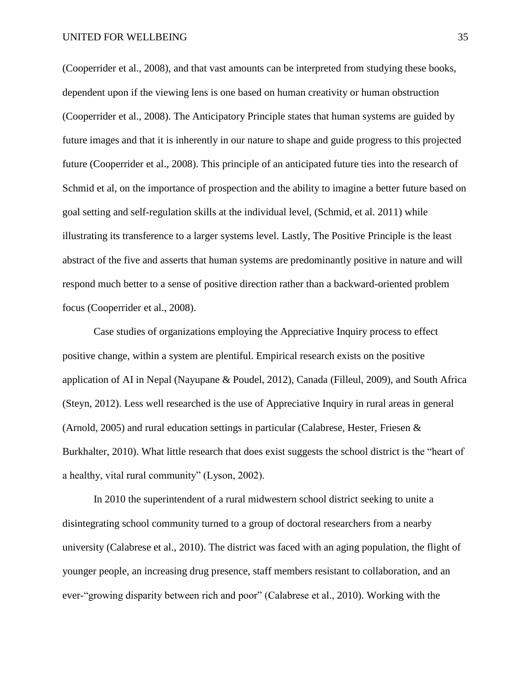(Cooperrider et al., 2008), and that vast amounts can be interpreted from studying these books, dependent upon if the viewing lens is one based on human creativity or human obstruction (Cooperrider et al., 2008). The Anticipatory Principle states that human systems are guided by future images and that it is inherently in our nature to shape and guide progress to this projected future (Cooperrider et al., 2008). This principle of an anticipated future ties into the research of Schmid et al, on the importance of prospection and the ability to imagine a better future based on goal setting and self-regulation skills at the individual level, (Schmid, et al. 2011) while illustrating its transference to a larger systems level. Lastly, The Positive Principle is the least abstract of the five and asserts that human systems are predominantly positive in nature and will respond much better to a sense of positive direction rather than a backward-oriented problem focus (Cooperrider et al., 2008).

Case studies of organizations employing the Appreciative Inquiry process to effect positive change, within a system are plentiful. Empirical research exists on the positive application of AI in Nepal (Nayupane & Poudel, 2012), Canada (Filleul, 2009), and South Africa (Steyn, 2012). Less well researched is the use of Appreciative Inquiry in rural areas in general (Arnold, 2005) and rural education settings in particular (Calabrese, Hester, Friesen & Burkhalter, 2010). What little research that does exist suggests the school district is the "heart of a healthy, vital rural community" (Lyson, 2002).

In 2010 the superintendent of a rural midwestern school district seeking to unite a disintegrating school community turned to a group of doctoral researchers from a nearby university (Calabrese et al., 2010). The district was faced with an aging population, the flight of younger people, an increasing drug presence, staff members resistant to collaboration, and an ever-"growing disparity between rich and poor" (Calabrese et al., 2010). Working with the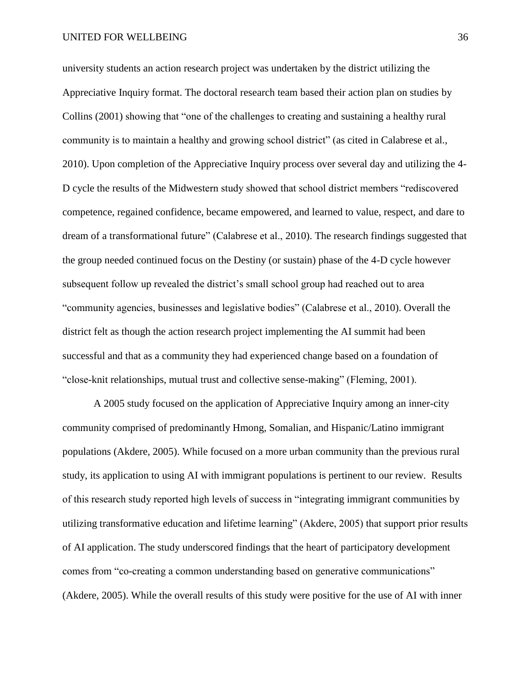#### UNITED FOR WELLBEING 36

university students an action research project was undertaken by the district utilizing the Appreciative Inquiry format. The doctoral research team based their action plan on studies by Collins (2001) showing that "one of the challenges to creating and sustaining a healthy rural community is to maintain a healthy and growing school district" (as cited in Calabrese et al., 2010). Upon completion of the Appreciative Inquiry process over several day and utilizing the 4- D cycle the results of the Midwestern study showed that school district members "rediscovered competence, regained confidence, became empowered, and learned to value, respect, and dare to dream of a transformational future" (Calabrese et al., 2010). The research findings suggested that the group needed continued focus on the Destiny (or sustain) phase of the 4-D cycle however subsequent follow up revealed the district's small school group had reached out to area "community agencies, businesses and legislative bodies" (Calabrese et al., 2010). Overall the district felt as though the action research project implementing the AI summit had been successful and that as a community they had experienced change based on a foundation of "close-knit relationships, mutual trust and collective sense-making" (Fleming, 2001).

A 2005 study focused on the application of Appreciative Inquiry among an inner-city community comprised of predominantly Hmong, Somalian, and Hispanic/Latino immigrant populations (Akdere, 2005). While focused on a more urban community than the previous rural study, its application to using AI with immigrant populations is pertinent to our review. Results of this research study reported high levels of success in "integrating immigrant communities by utilizing transformative education and lifetime learning" (Akdere, 2005) that support prior results of AI application. The study underscored findings that the heart of participatory development comes from "co-creating a common understanding based on generative communications" (Akdere, 2005). While the overall results of this study were positive for the use of AI with inner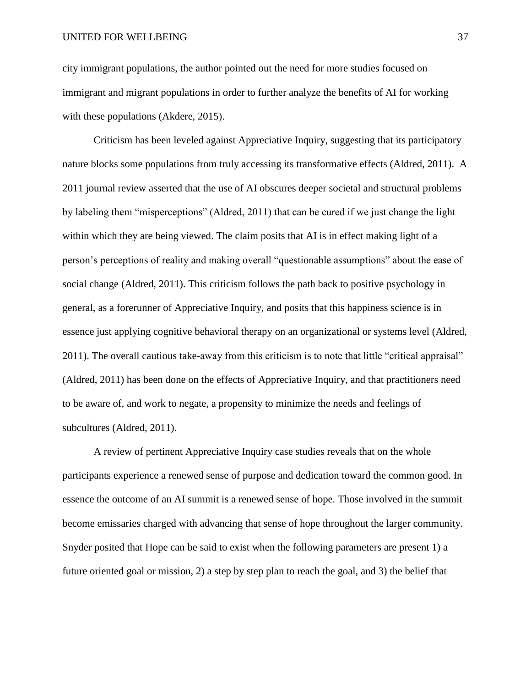city immigrant populations, the author pointed out the need for more studies focused on immigrant and migrant populations in order to further analyze the benefits of AI for working with these populations (Akdere, 2015).

Criticism has been leveled against Appreciative Inquiry, suggesting that its participatory nature blocks some populations from truly accessing its transformative effects (Aldred, 2011). A 2011 journal review asserted that the use of AI obscures deeper societal and structural problems by labeling them "misperceptions" (Aldred, 2011) that can be cured if we just change the light within which they are being viewed. The claim posits that AI is in effect making light of a person's perceptions of reality and making overall "questionable assumptions" about the ease of social change (Aldred, 2011). This criticism follows the path back to positive psychology in general, as a forerunner of Appreciative Inquiry, and posits that this happiness science is in essence just applying cognitive behavioral therapy on an organizational or systems level (Aldred, 2011). The overall cautious take-away from this criticism is to note that little "critical appraisal" (Aldred, 2011) has been done on the effects of Appreciative Inquiry, and that practitioners need to be aware of, and work to negate, a propensity to minimize the needs and feelings of subcultures (Aldred, 2011).

A review of pertinent Appreciative Inquiry case studies reveals that on the whole participants experience a renewed sense of purpose and dedication toward the common good. In essence the outcome of an AI summit is a renewed sense of hope. Those involved in the summit become emissaries charged with advancing that sense of hope throughout the larger community. Snyder posited that Hope can be said to exist when the following parameters are present 1) a future oriented goal or mission, 2) a step by step plan to reach the goal, and 3) the belief that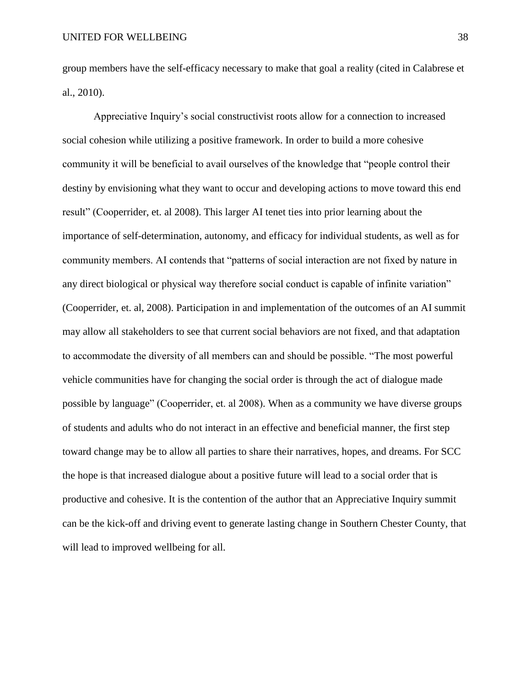group members have the self-efficacy necessary to make that goal a reality (cited in Calabrese et al., 2010).

Appreciative Inquiry's social constructivist roots allow for a connection to increased social cohesion while utilizing a positive framework. In order to build a more cohesive community it will be beneficial to avail ourselves of the knowledge that "people control their destiny by envisioning what they want to occur and developing actions to move toward this end result" (Cooperrider, et. al 2008). This larger AI tenet ties into prior learning about the importance of self-determination, autonomy, and efficacy for individual students, as well as for community members. AI contends that "patterns of social interaction are not fixed by nature in any direct biological or physical way therefore social conduct is capable of infinite variation" (Cooperrider, et. al, 2008). Participation in and implementation of the outcomes of an AI summit may allow all stakeholders to see that current social behaviors are not fixed, and that adaptation to accommodate the diversity of all members can and should be possible. "The most powerful vehicle communities have for changing the social order is through the act of dialogue made possible by language" (Cooperrider, et. al 2008). When as a community we have diverse groups of students and adults who do not interact in an effective and beneficial manner, the first step toward change may be to allow all parties to share their narratives, hopes, and dreams. For SCC the hope is that increased dialogue about a positive future will lead to a social order that is productive and cohesive. It is the contention of the author that an Appreciative Inquiry summit can be the kick-off and driving event to generate lasting change in Southern Chester County, that will lead to improved wellbeing for all.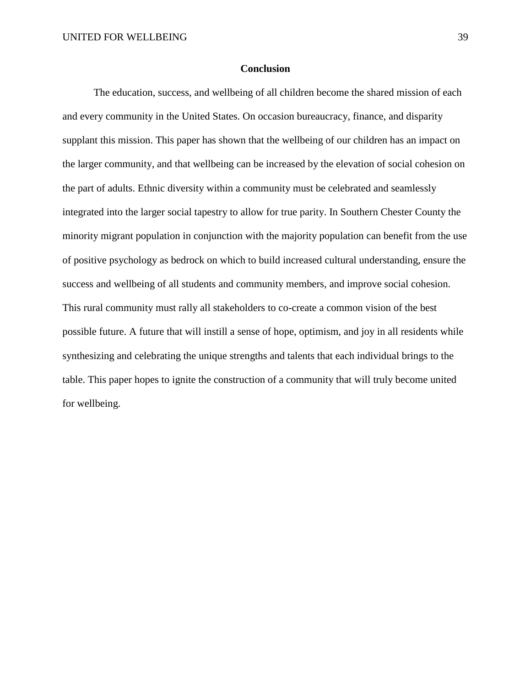## **Conclusion**

The education, success, and wellbeing of all children become the shared mission of each and every community in the United States. On occasion bureaucracy, finance, and disparity supplant this mission. This paper has shown that the wellbeing of our children has an impact on the larger community, and that wellbeing can be increased by the elevation of social cohesion on the part of adults. Ethnic diversity within a community must be celebrated and seamlessly integrated into the larger social tapestry to allow for true parity. In Southern Chester County the minority migrant population in conjunction with the majority population can benefit from the use of positive psychology as bedrock on which to build increased cultural understanding, ensure the success and wellbeing of all students and community members, and improve social cohesion. This rural community must rally all stakeholders to co-create a common vision of the best possible future. A future that will instill a sense of hope, optimism, and joy in all residents while synthesizing and celebrating the unique strengths and talents that each individual brings to the table. This paper hopes to ignite the construction of a community that will truly become united for wellbeing.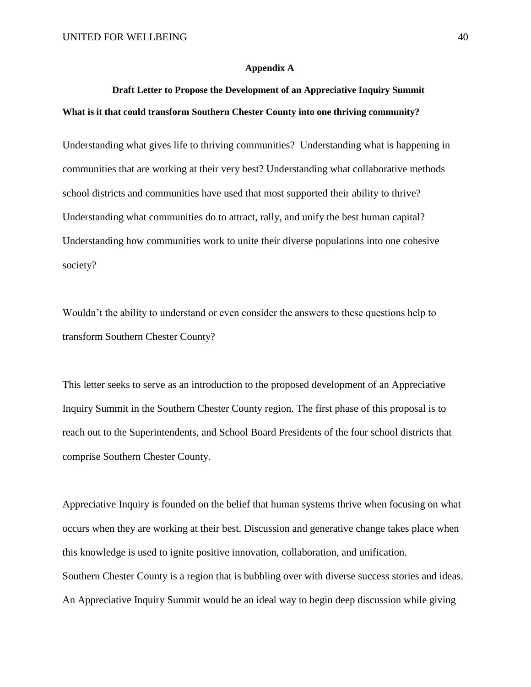#### **Appendix A**

## **Draft Letter to Propose the Development of an Appreciative Inquiry Summit What is it that could transform Southern Chester County into one thriving community?**

Understanding what gives life to thriving communities? Understanding what is happening in communities that are working at their very best? Understanding what collaborative methods school districts and communities have used that most supported their ability to thrive? Understanding what communities do to attract, rally, and unify the best human capital? Understanding how communities work to unite their diverse populations into one cohesive society?

Wouldn't the ability to understand or even consider the answers to these questions help to transform Southern Chester County?

This letter seeks to serve as an introduction to the proposed development of an Appreciative Inquiry Summit in the Southern Chester County region. The first phase of this proposal is to reach out to the Superintendents, and School Board Presidents of the four school districts that comprise Southern Chester County.

Appreciative Inquiry is founded on the belief that human systems thrive when focusing on what occurs when they are working at their best. Discussion and generative change takes place when this knowledge is used to ignite positive innovation, collaboration, and unification. Southern Chester County is a region that is bubbling over with diverse success stories and ideas. An Appreciative Inquiry Summit would be an ideal way to begin deep discussion while giving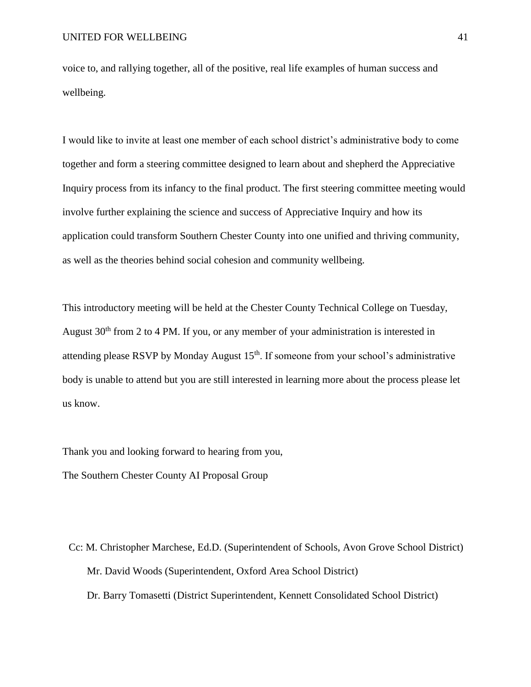voice to, and rallying together, all of the positive, real life examples of human success and wellbeing.

I would like to invite at least one member of each school district's administrative body to come together and form a steering committee designed to learn about and shepherd the Appreciative Inquiry process from its infancy to the final product. The first steering committee meeting would involve further explaining the science and success of Appreciative Inquiry and how its application could transform Southern Chester County into one unified and thriving community, as well as the theories behind social cohesion and community wellbeing.

This introductory meeting will be held at the Chester County Technical College on Tuesday, August  $30<sup>th</sup>$  from 2 to 4 PM. If you, or any member of your administration is interested in attending please RSVP by Monday August 15<sup>th</sup>. If someone from your school's administrative body is unable to attend but you are still interested in learning more about the process please let us know.

Thank you and looking forward to hearing from you,

The Southern Chester County AI Proposal Group

Cc: M. Christopher Marchese, Ed.D. (Superintendent of Schools, Avon Grove School District) Mr. David Woods (Superintendent, Oxford Area School District) Dr. Barry Tomasetti (District Superintendent, Kennett Consolidated School District)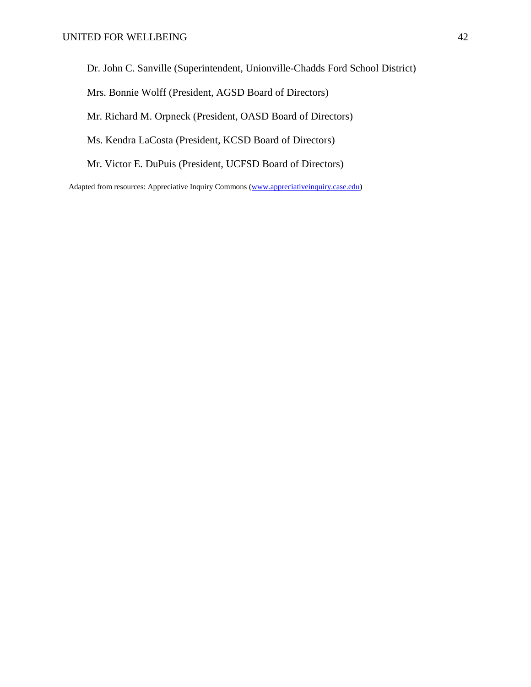Dr. John C. Sanville (Superintendent, Unionville-Chadds Ford School District)

Mrs. Bonnie Wolff (President, AGSD Board of Directors)

Mr. Richard M. Orpneck (President, OASD Board of Directors)

Ms. Kendra LaCosta (President, KCSD Board of Directors)

Mr. Victor E. DuPuis (President, UCFSD Board of Directors)

Adapted from resources: Appreciative Inquiry Commons [\(www.appreciativeinquiry.case.edu\)](http://www.appreciativeinquiry.case.edu/)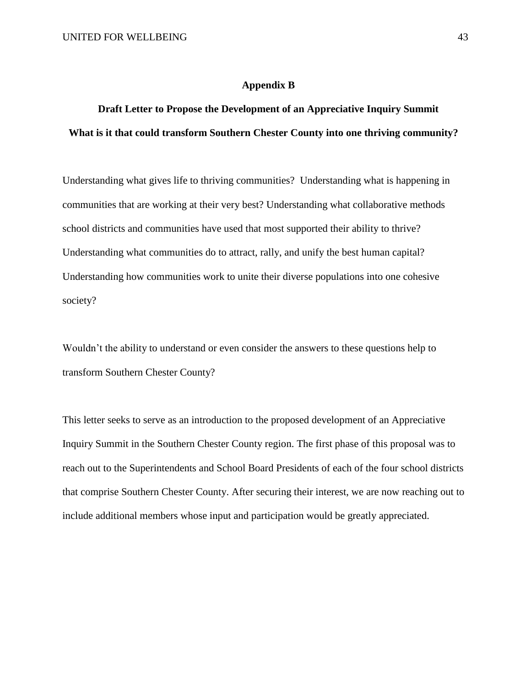#### **Appendix B**

## **Draft Letter to Propose the Development of an Appreciative Inquiry Summit What is it that could transform Southern Chester County into one thriving community?**

Understanding what gives life to thriving communities? Understanding what is happening in communities that are working at their very best? Understanding what collaborative methods school districts and communities have used that most supported their ability to thrive? Understanding what communities do to attract, rally, and unify the best human capital? Understanding how communities work to unite their diverse populations into one cohesive society?

Wouldn't the ability to understand or even consider the answers to these questions help to transform Southern Chester County?

This letter seeks to serve as an introduction to the proposed development of an Appreciative Inquiry Summit in the Southern Chester County region. The first phase of this proposal was to reach out to the Superintendents and School Board Presidents of each of the four school districts that comprise Southern Chester County. After securing their interest, we are now reaching out to include additional members whose input and participation would be greatly appreciated.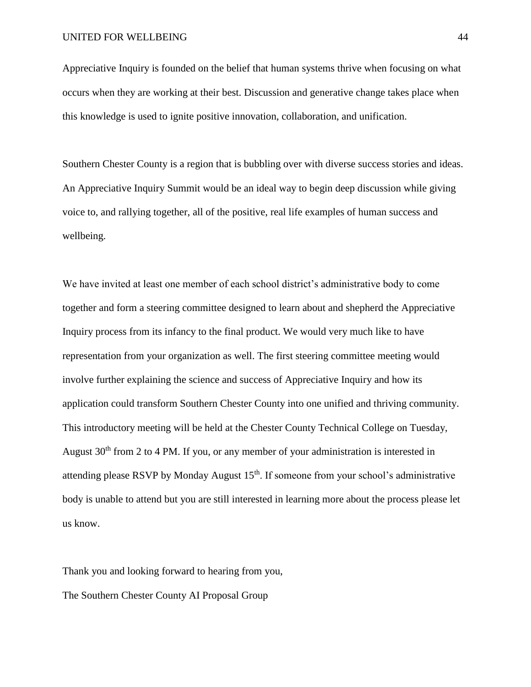Appreciative Inquiry is founded on the belief that human systems thrive when focusing on what occurs when they are working at their best. Discussion and generative change takes place when this knowledge is used to ignite positive innovation, collaboration, and unification.

Southern Chester County is a region that is bubbling over with diverse success stories and ideas. An Appreciative Inquiry Summit would be an ideal way to begin deep discussion while giving voice to, and rallying together, all of the positive, real life examples of human success and wellbeing.

We have invited at least one member of each school district's administrative body to come together and form a steering committee designed to learn about and shepherd the Appreciative Inquiry process from its infancy to the final product. We would very much like to have representation from your organization as well. The first steering committee meeting would involve further explaining the science and success of Appreciative Inquiry and how its application could transform Southern Chester County into one unified and thriving community. This introductory meeting will be held at the Chester County Technical College on Tuesday, August  $30<sup>th</sup>$  from 2 to 4 PM. If you, or any member of your administration is interested in attending please RSVP by Monday August  $15<sup>th</sup>$ . If someone from your school's administrative body is unable to attend but you are still interested in learning more about the process please let us know.

Thank you and looking forward to hearing from you,

The Southern Chester County AI Proposal Group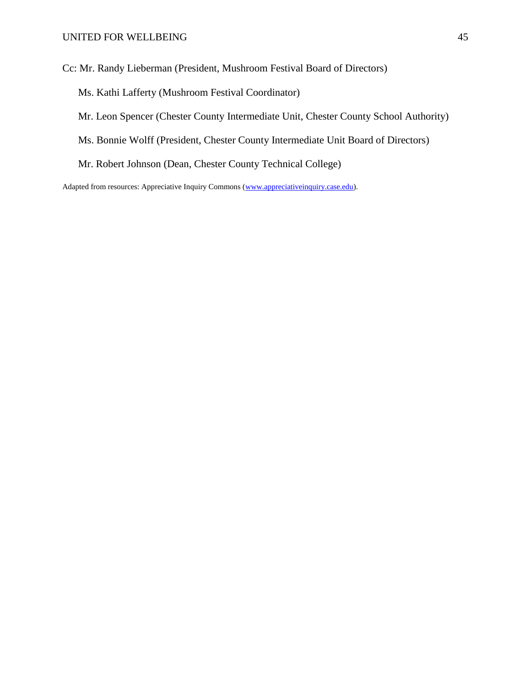Cc: Mr. Randy Lieberman (President, Mushroom Festival Board of Directors)

- Ms. Kathi Lafferty (Mushroom Festival Coordinator)
- Mr. Leon Spencer (Chester County Intermediate Unit, Chester County School Authority)
- Ms. Bonnie Wolff (President, Chester County Intermediate Unit Board of Directors)
- Mr. Robert Johnson (Dean, Chester County Technical College)

Adapted from resources: Appreciative Inquiry Commons [\(www.appreciativeinquiry.case.edu\)](http://www.appreciativeinquiry.case.edu/).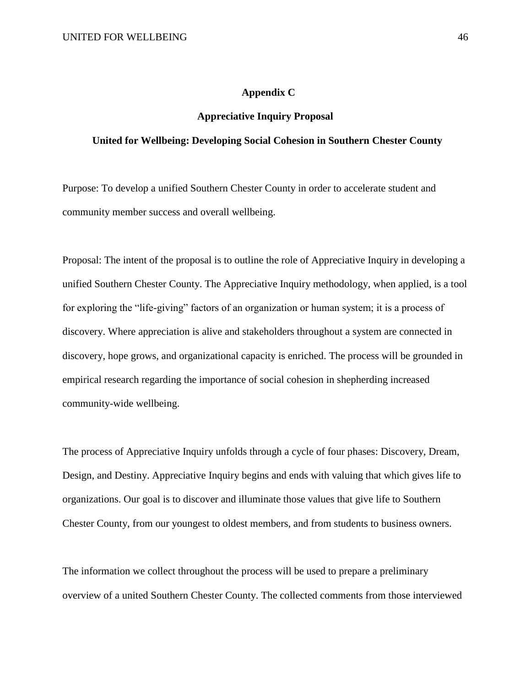## **Appendix C**

### **Appreciative Inquiry Proposal**

## **United for Wellbeing: Developing Social Cohesion in Southern Chester County**

Purpose: To develop a unified Southern Chester County in order to accelerate student and community member success and overall wellbeing.

Proposal: The intent of the proposal is to outline the role of Appreciative Inquiry in developing a unified Southern Chester County. The Appreciative Inquiry methodology, when applied, is a tool for exploring the "life-giving" factors of an organization or human system; it is a process of discovery. Where appreciation is alive and stakeholders throughout a system are connected in discovery, hope grows, and organizational capacity is enriched. The process will be grounded in empirical research regarding the importance of social cohesion in shepherding increased community-wide wellbeing.

The process of Appreciative Inquiry unfolds through a cycle of four phases: Discovery, Dream, Design, and Destiny. Appreciative Inquiry begins and ends with valuing that which gives life to organizations. Our goal is to discover and illuminate those values that give life to Southern Chester County, from our youngest to oldest members, and from students to business owners.

The information we collect throughout the process will be used to prepare a preliminary overview of a united Southern Chester County. The collected comments from those interviewed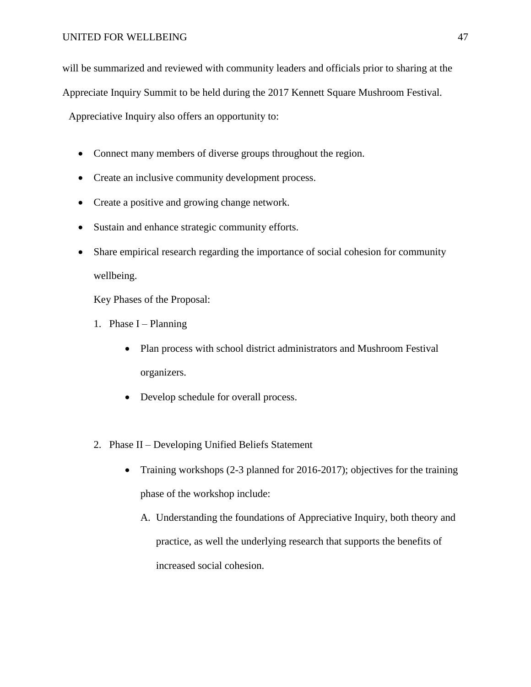will be summarized and reviewed with community leaders and officials prior to sharing at the

Appreciate Inquiry Summit to be held during the 2017 Kennett Square Mushroom Festival.

Appreciative Inquiry also offers an opportunity to:

- Connect many members of diverse groups throughout the region.
- Create an inclusive community development process.
- Create a positive and growing change network.
- Sustain and enhance strategic community efforts.
- Share empirical research regarding the importance of social cohesion for community wellbeing.

Key Phases of the Proposal:

- 1. Phase  $I -$ Planning
	- Plan process with school district administrators and Mushroom Festival organizers.
	- Develop schedule for overall process.
- 2. Phase II Developing Unified Beliefs Statement
	- Training workshops (2-3 planned for 2016-2017); objectives for the training phase of the workshop include:
		- A. Understanding the foundations of Appreciative Inquiry, both theory and practice, as well the underlying research that supports the benefits of increased social cohesion.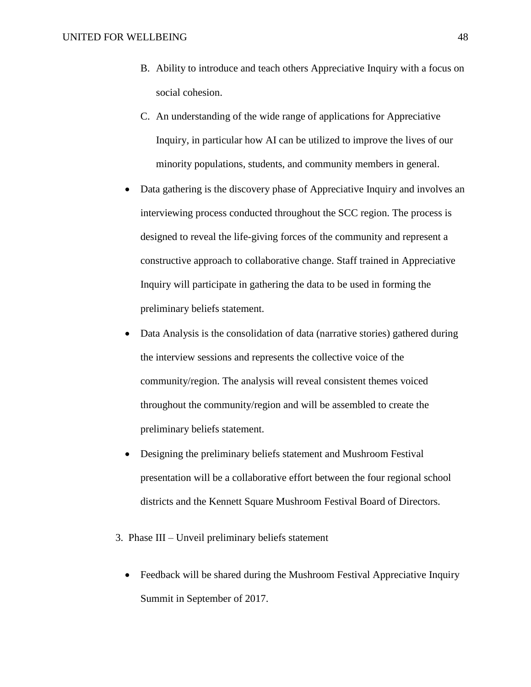- B. Ability to introduce and teach others Appreciative Inquiry with a focus on social cohesion.
- C. An understanding of the wide range of applications for Appreciative Inquiry, in particular how AI can be utilized to improve the lives of our minority populations, students, and community members in general.
- Data gathering is the discovery phase of Appreciative Inquiry and involves an interviewing process conducted throughout the SCC region. The process is designed to reveal the life-giving forces of the community and represent a constructive approach to collaborative change. Staff trained in Appreciative Inquiry will participate in gathering the data to be used in forming the preliminary beliefs statement.
- Data Analysis is the consolidation of data (narrative stories) gathered during the interview sessions and represents the collective voice of the community/region. The analysis will reveal consistent themes voiced throughout the community/region and will be assembled to create the preliminary beliefs statement.
- Designing the preliminary beliefs statement and Mushroom Festival presentation will be a collaborative effort between the four regional school districts and the Kennett Square Mushroom Festival Board of Directors.
- 3. Phase III Unveil preliminary beliefs statement
	- Feedback will be shared during the Mushroom Festival Appreciative Inquiry Summit in September of 2017.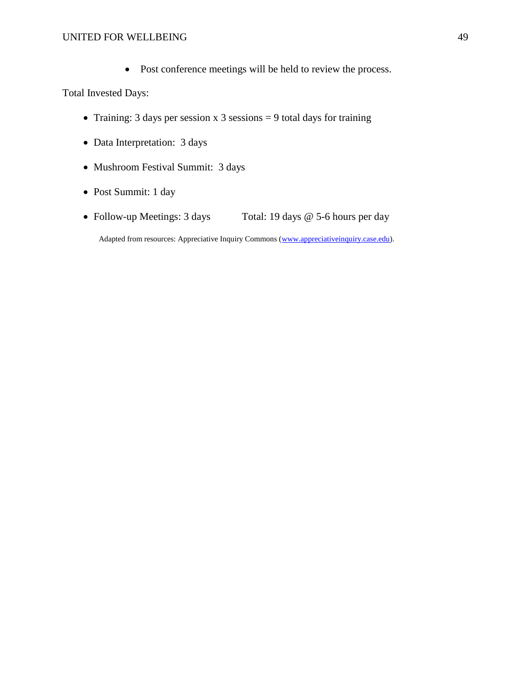• Post conference meetings will be held to review the process.

Total Invested Days:

- Training: 3 days per session x 3 sessions  $= 9$  total days for training
- Data Interpretation: 3 days
- Mushroom Festival Summit: 3 days
- Post Summit: 1 day
- Follow-up Meetings: 3 days Total: 19 days @ 5-6 hours per day

Adapted from resources: Appreciative Inquiry Commons [\(www.appreciativeinquiry.case.edu\)](http://www.appreciativeinquiry.case.edu/).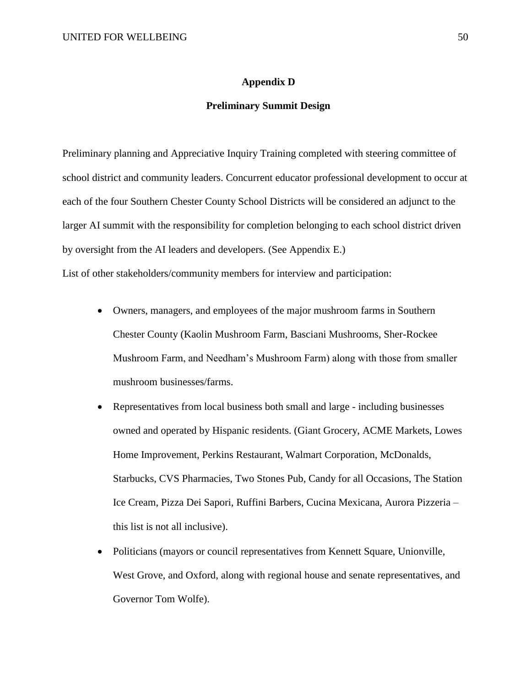### **Appendix D**

## **Preliminary Summit Design**

Preliminary planning and Appreciative Inquiry Training completed with steering committee of school district and community leaders. Concurrent educator professional development to occur at each of the four Southern Chester County School Districts will be considered an adjunct to the larger AI summit with the responsibility for completion belonging to each school district driven by oversight from the AI leaders and developers. (See Appendix E.) List of other stakeholders/community members for interview and participation:

- Owners, managers, and employees of the major mushroom farms in Southern Chester County (Kaolin Mushroom Farm, Basciani Mushrooms, Sher-Rockee Mushroom Farm, and Needham's Mushroom Farm) along with those from smaller mushroom businesses/farms.
- Representatives from local business both small and large including businesses owned and operated by Hispanic residents. (Giant Grocery, ACME Markets, Lowes Home Improvement, Perkins Restaurant, Walmart Corporation, McDonalds, Starbucks, CVS Pharmacies, Two Stones Pub, Candy for all Occasions, The Station Ice Cream, Pizza Dei Sapori, Ruffini Barbers, Cucina Mexicana, Aurora Pizzeria – this list is not all inclusive).
- Politicians (mayors or council representatives from Kennett Square, Unionville, West Grove, and Oxford, along with regional house and senate representatives, and Governor Tom Wolfe).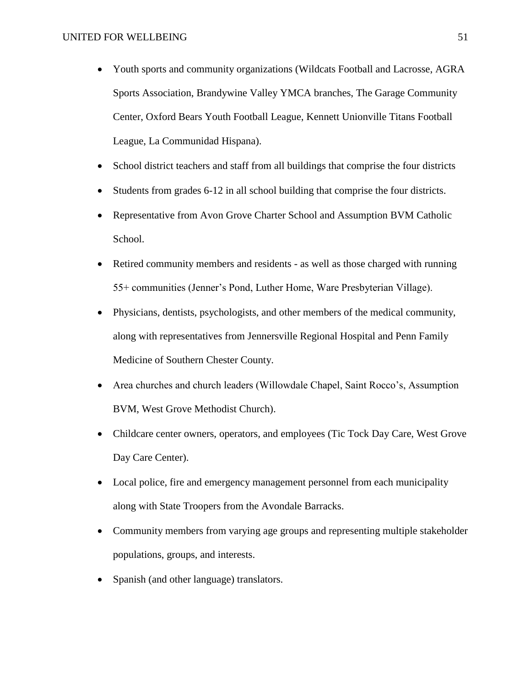- Youth sports and community organizations (Wildcats Football and Lacrosse, AGRA Sports Association, Brandywine Valley YMCA branches, The Garage Community Center, Oxford Bears Youth Football League, Kennett Unionville Titans Football League, La Communidad Hispana).
- School district teachers and staff from all buildings that comprise the four districts
- Students from grades 6-12 in all school building that comprise the four districts.
- Representative from Avon Grove Charter School and Assumption BVM Catholic School.
- Retired community members and residents as well as those charged with running 55+ communities (Jenner's Pond, Luther Home, Ware Presbyterian Village).
- Physicians, dentists, psychologists, and other members of the medical community, along with representatives from Jennersville Regional Hospital and Penn Family Medicine of Southern Chester County.
- Area churches and church leaders (Willowdale Chapel, Saint Rocco's, Assumption BVM, West Grove Methodist Church).
- Childcare center owners, operators, and employees (Tic Tock Day Care, West Grove Day Care Center).
- Local police, fire and emergency management personnel from each municipality along with State Troopers from the Avondale Barracks.
- Community members from varying age groups and representing multiple stakeholder populations, groups, and interests.
- Spanish (and other language) translators.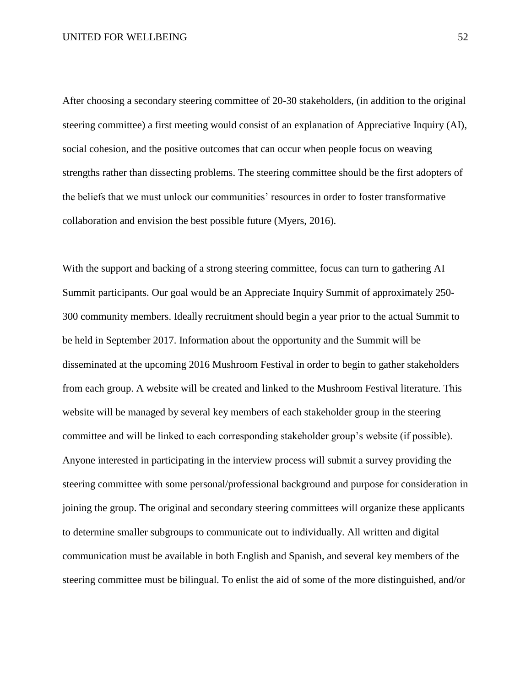After choosing a secondary steering committee of 20-30 stakeholders, (in addition to the original steering committee) a first meeting would consist of an explanation of Appreciative Inquiry (AI), social cohesion, and the positive outcomes that can occur when people focus on weaving strengths rather than dissecting problems. The steering committee should be the first adopters of the beliefs that we must unlock our communities' resources in order to foster transformative collaboration and envision the best possible future (Myers, 2016).

With the support and backing of a strong steering committee, focus can turn to gathering AI Summit participants. Our goal would be an Appreciate Inquiry Summit of approximately 250- 300 community members. Ideally recruitment should begin a year prior to the actual Summit to be held in September 2017. Information about the opportunity and the Summit will be disseminated at the upcoming 2016 Mushroom Festival in order to begin to gather stakeholders from each group. A website will be created and linked to the Mushroom Festival literature. This website will be managed by several key members of each stakeholder group in the steering committee and will be linked to each corresponding stakeholder group's website (if possible). Anyone interested in participating in the interview process will submit a survey providing the steering committee with some personal/professional background and purpose for consideration in joining the group. The original and secondary steering committees will organize these applicants to determine smaller subgroups to communicate out to individually. All written and digital communication must be available in both English and Spanish, and several key members of the steering committee must be bilingual. To enlist the aid of some of the more distinguished, and/or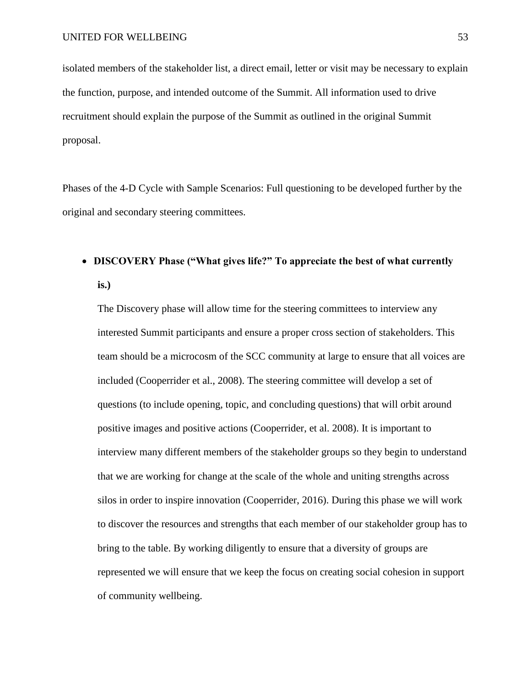isolated members of the stakeholder list, a direct email, letter or visit may be necessary to explain the function, purpose, and intended outcome of the Summit. All information used to drive recruitment should explain the purpose of the Summit as outlined in the original Summit proposal.

Phases of the 4-D Cycle with Sample Scenarios: Full questioning to be developed further by the original and secondary steering committees.

## **DISCOVERY Phase ("What gives life?" To appreciate the best of what currently is.)**

The Discovery phase will allow time for the steering committees to interview any interested Summit participants and ensure a proper cross section of stakeholders. This team should be a microcosm of the SCC community at large to ensure that all voices are included (Cooperrider et al., 2008). The steering committee will develop a set of questions (to include opening, topic, and concluding questions) that will orbit around positive images and positive actions (Cooperrider, et al. 2008). It is important to interview many different members of the stakeholder groups so they begin to understand that we are working for change at the scale of the whole and uniting strengths across silos in order to inspire innovation (Cooperrider, 2016). During this phase we will work to discover the resources and strengths that each member of our stakeholder group has to bring to the table. By working diligently to ensure that a diversity of groups are represented we will ensure that we keep the focus on creating social cohesion in support of community wellbeing.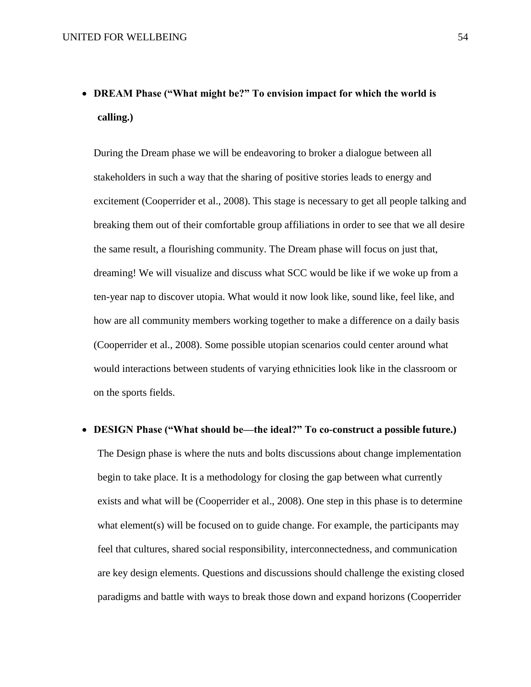# **DREAM Phase ("What might be?" To envision impact for which the world is calling.)**

During the Dream phase we will be endeavoring to broker a dialogue between all stakeholders in such a way that the sharing of positive stories leads to energy and excitement (Cooperrider et al., 2008). This stage is necessary to get all people talking and breaking them out of their comfortable group affiliations in order to see that we all desire the same result, a flourishing community. The Dream phase will focus on just that, dreaming! We will visualize and discuss what SCC would be like if we woke up from a ten-year nap to discover utopia. What would it now look like, sound like, feel like, and how are all community members working together to make a difference on a daily basis (Cooperrider et al., 2008). Some possible utopian scenarios could center around what would interactions between students of varying ethnicities look like in the classroom or on the sports fields.

## **DESIGN Phase ("What should be—the ideal?" To co-construct a possible future.)**

The Design phase is where the nuts and bolts discussions about change implementation begin to take place. It is a methodology for closing the gap between what currently exists and what will be (Cooperrider et al., 2008). One step in this phase is to determine what element(s) will be focused on to guide change. For example, the participants may feel that cultures, shared social responsibility, interconnectedness, and communication are key design elements. Questions and discussions should challenge the existing closed paradigms and battle with ways to break those down and expand horizons (Cooperrider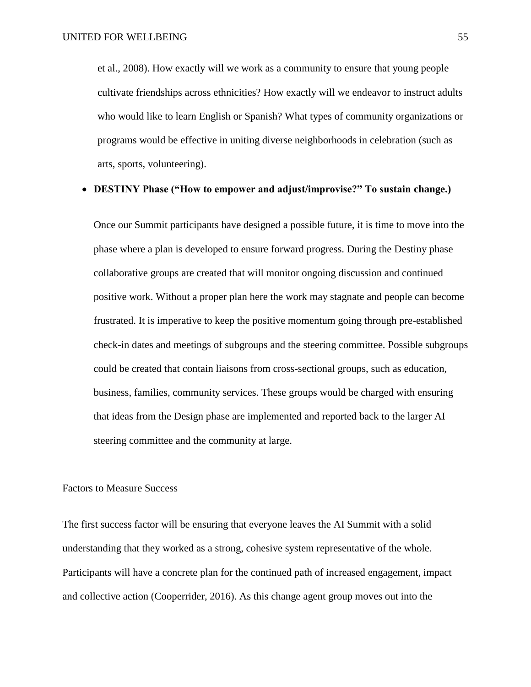et al., 2008). How exactly will we work as a community to ensure that young people cultivate friendships across ethnicities? How exactly will we endeavor to instruct adults who would like to learn English or Spanish? What types of community organizations or programs would be effective in uniting diverse neighborhoods in celebration (such as arts, sports, volunteering).

## **DESTINY Phase ("How to empower and adjust/improvise?" To sustain change.)**

Once our Summit participants have designed a possible future, it is time to move into the phase where a plan is developed to ensure forward progress. During the Destiny phase collaborative groups are created that will monitor ongoing discussion and continued positive work. Without a proper plan here the work may stagnate and people can become frustrated. It is imperative to keep the positive momentum going through pre-established check-in dates and meetings of subgroups and the steering committee. Possible subgroups could be created that contain liaisons from cross-sectional groups, such as education, business, families, community services. These groups would be charged with ensuring that ideas from the Design phase are implemented and reported back to the larger AI steering committee and the community at large.

## Factors to Measure Success

The first success factor will be ensuring that everyone leaves the AI Summit with a solid understanding that they worked as a strong, cohesive system representative of the whole. Participants will have a concrete plan for the continued path of increased engagement, impact and collective action (Cooperrider, 2016). As this change agent group moves out into the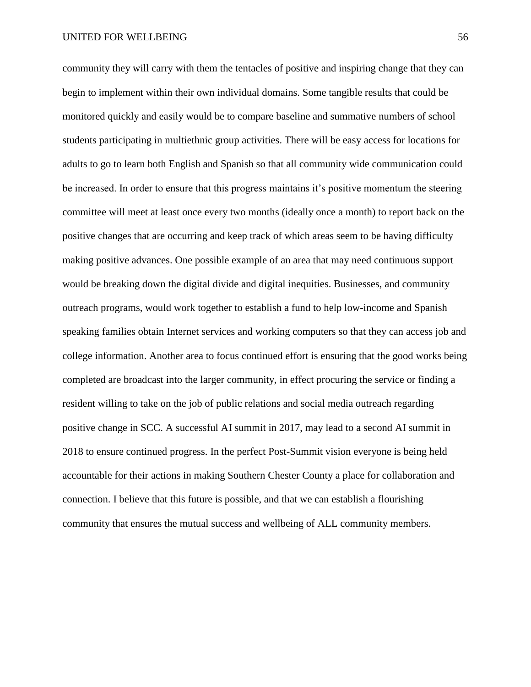community they will carry with them the tentacles of positive and inspiring change that they can begin to implement within their own individual domains. Some tangible results that could be monitored quickly and easily would be to compare baseline and summative numbers of school students participating in multiethnic group activities. There will be easy access for locations for adults to go to learn both English and Spanish so that all community wide communication could be increased. In order to ensure that this progress maintains it's positive momentum the steering committee will meet at least once every two months (ideally once a month) to report back on the positive changes that are occurring and keep track of which areas seem to be having difficulty making positive advances. One possible example of an area that may need continuous support would be breaking down the digital divide and digital inequities. Businesses, and community outreach programs, would work together to establish a fund to help low-income and Spanish speaking families obtain Internet services and working computers so that they can access job and college information. Another area to focus continued effort is ensuring that the good works being completed are broadcast into the larger community, in effect procuring the service or finding a resident willing to take on the job of public relations and social media outreach regarding positive change in SCC. A successful AI summit in 2017, may lead to a second AI summit in 2018 to ensure continued progress. In the perfect Post-Summit vision everyone is being held accountable for their actions in making Southern Chester County a place for collaboration and connection. I believe that this future is possible, and that we can establish a flourishing community that ensures the mutual success and wellbeing of ALL community members.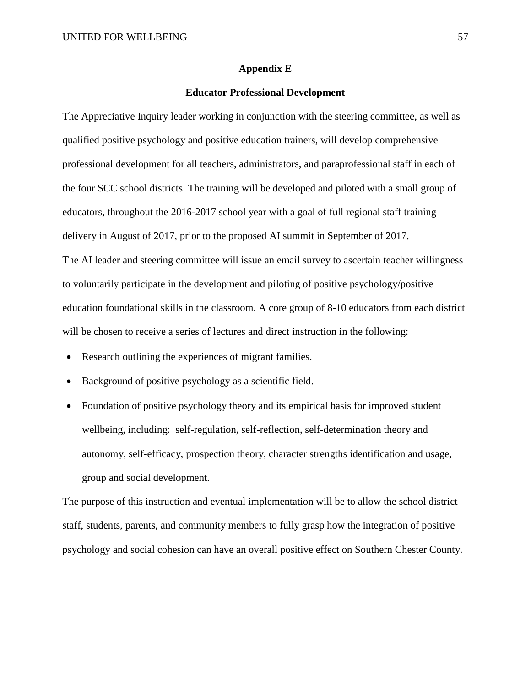#### **Appendix E**

## **Educator Professional Development**

The Appreciative Inquiry leader working in conjunction with the steering committee, as well as qualified positive psychology and positive education trainers, will develop comprehensive professional development for all teachers, administrators, and paraprofessional staff in each of the four SCC school districts. The training will be developed and piloted with a small group of educators, throughout the 2016-2017 school year with a goal of full regional staff training delivery in August of 2017, prior to the proposed AI summit in September of 2017. The AI leader and steering committee will issue an email survey to ascertain teacher willingness to voluntarily participate in the development and piloting of positive psychology/positive education foundational skills in the classroom. A core group of 8-10 educators from each district will be chosen to receive a series of lectures and direct instruction in the following:

- Research outlining the experiences of migrant families.
- Background of positive psychology as a scientific field.
- Foundation of positive psychology theory and its empirical basis for improved student wellbeing, including: self-regulation, self-reflection, self-determination theory and autonomy, self-efficacy, prospection theory, character strengths identification and usage, group and social development.

The purpose of this instruction and eventual implementation will be to allow the school district staff, students, parents, and community members to fully grasp how the integration of positive psychology and social cohesion can have an overall positive effect on Southern Chester County.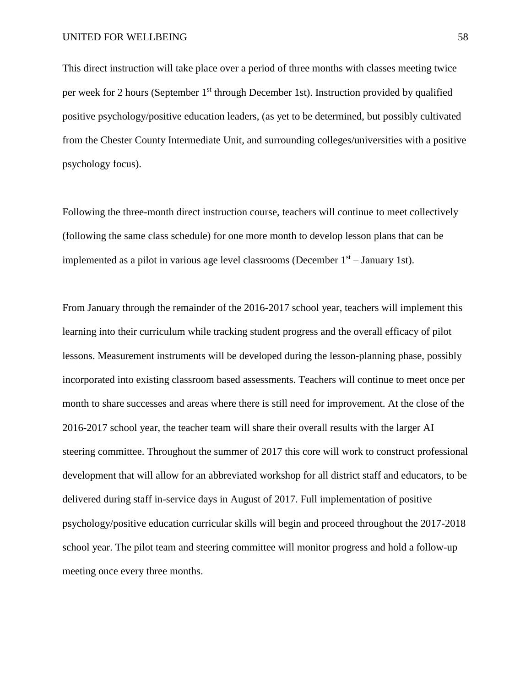This direct instruction will take place over a period of three months with classes meeting twice per week for 2 hours (September 1<sup>st</sup> through December 1st). Instruction provided by qualified positive psychology/positive education leaders, (as yet to be determined, but possibly cultivated from the Chester County Intermediate Unit, and surrounding colleges/universities with a positive psychology focus).

Following the three-month direct instruction course, teachers will continue to meet collectively (following the same class schedule) for one more month to develop lesson plans that can be implemented as a pilot in various age level classrooms (December  $1<sup>st</sup>$  – January 1st).

From January through the remainder of the 2016-2017 school year, teachers will implement this learning into their curriculum while tracking student progress and the overall efficacy of pilot lessons. Measurement instruments will be developed during the lesson-planning phase, possibly incorporated into existing classroom based assessments. Teachers will continue to meet once per month to share successes and areas where there is still need for improvement. At the close of the 2016-2017 school year, the teacher team will share their overall results with the larger AI steering committee. Throughout the summer of 2017 this core will work to construct professional development that will allow for an abbreviated workshop for all district staff and educators, to be delivered during staff in-service days in August of 2017. Full implementation of positive psychology/positive education curricular skills will begin and proceed throughout the 2017-2018 school year. The pilot team and steering committee will monitor progress and hold a follow-up meeting once every three months.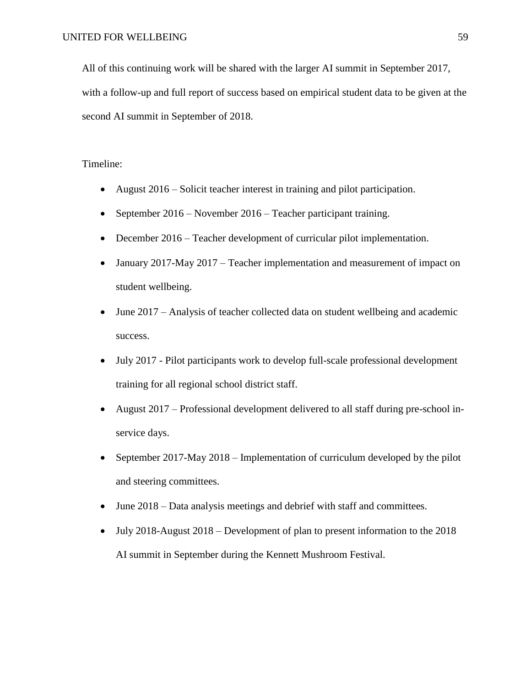All of this continuing work will be shared with the larger AI summit in September 2017, with a follow-up and full report of success based on empirical student data to be given at the second AI summit in September of 2018.

## Timeline:

- August 2016 Solicit teacher interest in training and pilot participation.
- September 2016 November 2016 Teacher participant training.
- December 2016 Teacher development of curricular pilot implementation.
- January 2017-May 2017 Teacher implementation and measurement of impact on student wellbeing.
- June 2017 Analysis of teacher collected data on student wellbeing and academic success.
- July 2017 Pilot participants work to develop full-scale professional development training for all regional school district staff.
- August 2017 Professional development delivered to all staff during pre-school inservice days.
- September 2017-May 2018 Implementation of curriculum developed by the pilot and steering committees.
- June 2018 Data analysis meetings and debrief with staff and committees.
- July 2018-August 2018 Development of plan to present information to the 2018 AI summit in September during the Kennett Mushroom Festival.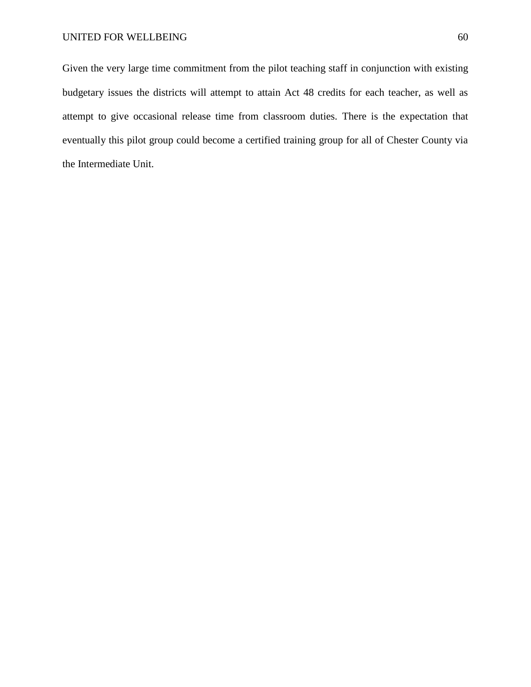Given the very large time commitment from the pilot teaching staff in conjunction with existing budgetary issues the districts will attempt to attain Act 48 credits for each teacher, as well as attempt to give occasional release time from classroom duties. There is the expectation that eventually this pilot group could become a certified training group for all of Chester County via the Intermediate Unit.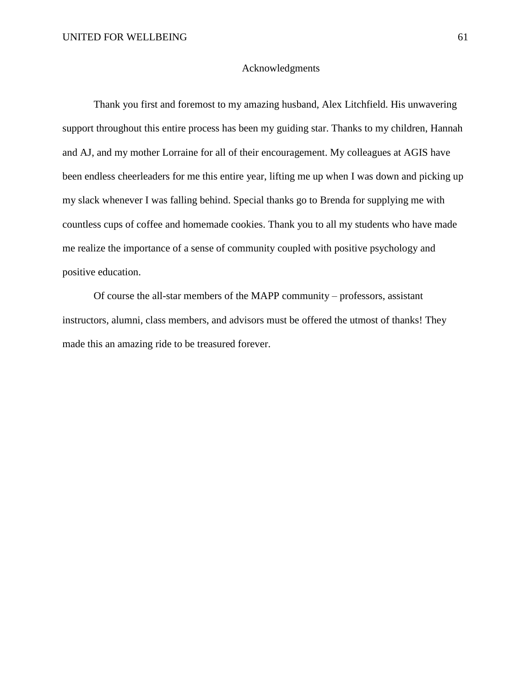### Acknowledgments

Thank you first and foremost to my amazing husband, Alex Litchfield. His unwavering support throughout this entire process has been my guiding star. Thanks to my children, Hannah and AJ, and my mother Lorraine for all of their encouragement. My colleagues at AGIS have been endless cheerleaders for me this entire year, lifting me up when I was down and picking up my slack whenever I was falling behind. Special thanks go to Brenda for supplying me with countless cups of coffee and homemade cookies. Thank you to all my students who have made me realize the importance of a sense of community coupled with positive psychology and positive education.

Of course the all-star members of the MAPP community – professors, assistant instructors, alumni, class members, and advisors must be offered the utmost of thanks! They made this an amazing ride to be treasured forever.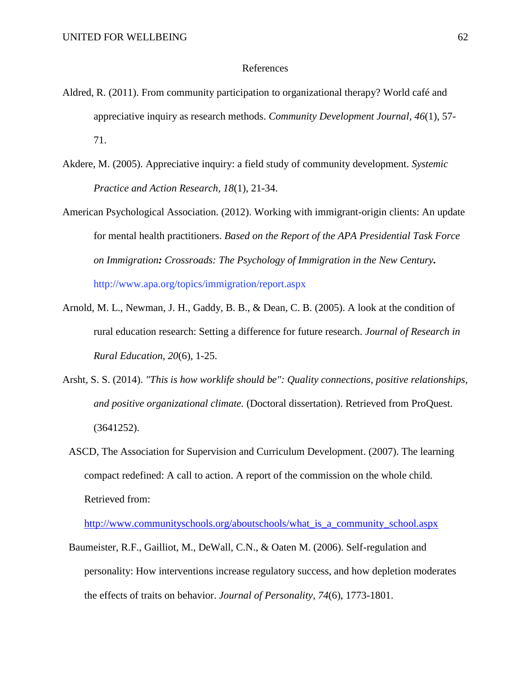#### References

- Aldred, R. (2011). From community participation to organizational therapy? World café and appreciative inquiry as research methods. *Community Development Journal, 46*(1), 57- 71.
- Akdere, M. (2005). Appreciative inquiry: a field study of community development. *Systemic Practice and Action Research, 18*(1), 21-34.
- American Psychological Association. (2012). Working with immigrant-origin clients: An update for mental health practitioners. *Based on the Report of the APA Presidential Task Force on Immigration: Crossroads: The Psychology of Immigration in the New Century.* http://www.apa.org/topics/immigration/report.aspx
- Arnold, M. L., Newman, J. H., Gaddy, B. B., & Dean, C. B. (2005). A look at the condition of rural education research: Setting a difference for future research. *Journal of Research in Rural Education, 20*(6), 1-25.
- Arsht, S. S. (2014). *"This is how worklife should be": Quality connections, positive relationships, and positive organizational climate.* (Doctoral dissertation). Retrieved from ProQuest. (3641252).
	- ASCD, The Association for Supervision and Curriculum Development. (2007). The learning compact redefined: A call to action. A report of the commission on the whole child. Retrieved from:

[http://www.communityschools.org/aboutschools/what\\_is\\_a\\_community\\_school.aspx](http://www.communityschools.org/aboutschools/what_is_a_community_school.aspx)

Baumeister, R.F., Gailliot, M., DeWall, C.N., & Oaten M. (2006). Self-regulation and personality: How interventions increase regulatory success, and how depletion moderates the effects of traits on behavior. *Journal of Personality, 74*(6), 1773-1801.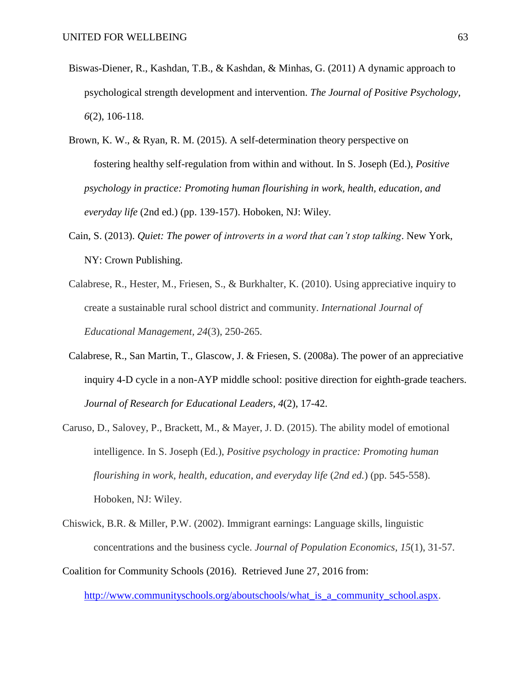- Biswas-Diener, R., Kashdan, T.B., & Kashdan, & Minhas, G. (2011) A dynamic approach to psychological strength development and intervention. *The Journal of Positive Psychology, 6*(2), 106-118.
- Brown, K. W., & Ryan, R. M. (2015). A self-determination theory perspective on fostering healthy self-regulation from within and without. In S. Joseph (Ed.), *Positive psychology in practice: Promoting human flourishing in work, health, education, and everyday life* (2nd ed.) (pp. 139-157). Hoboken, NJ: Wiley.
- Cain, S. (2013). *Quiet: The power of introverts in a word that can't stop talking*. New York, NY: Crown Publishing.
- Calabrese, R., Hester, M., Friesen, S., & Burkhalter, K. (2010). Using appreciative inquiry to create a sustainable rural school district and community. *International Journal of Educational Management, 24*(3), 250-265.
- Calabrese, R., San Martin, T., Glascow, J. & Friesen, S. (2008a). The power of an appreciative inquiry 4-D cycle in a non-AYP middle school: positive direction for eighth-grade teachers. *Journal of Research for Educational Leaders, 4*(2), 17-42.
- Caruso, D., Salovey, P., Brackett, M., & Mayer, J. D. (2015). The ability model of emotional intelligence. In S. Joseph (Ed.), *Positive psychology in practice: Promoting human flourishing in work, health, education, and everyday life* (*2nd ed.*) (pp. 545-558). Hoboken, NJ: Wiley.
- Chiswick, B.R. & Miller, P.W. (2002). Immigrant earnings: Language skills, linguistic concentrations and the business cycle. *Journal of Population Economics, 15*(1), 31-57.

Coalition for Community Schools (2016). Retrieved June 27, 2016 from:

[http://www.communityschools.org/aboutschools/what\\_is\\_a\\_community\\_school.aspx.](http://www.communityschools.org/aboutschools/what_is_a_community_school.aspx)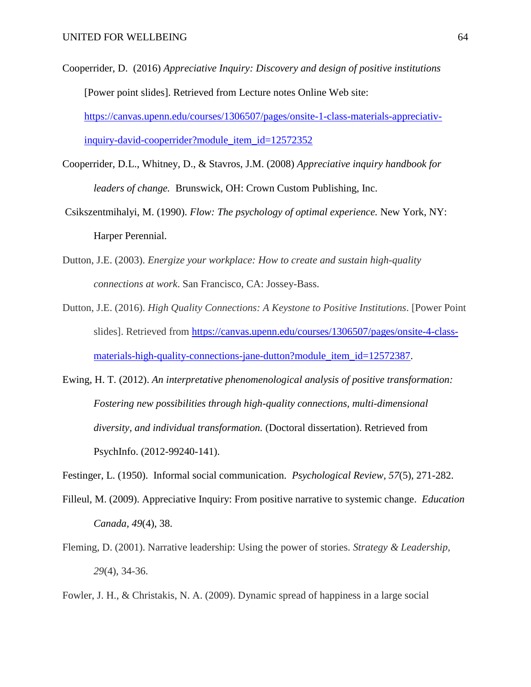- Cooperrider, D. (2016) *Appreciative Inquiry: Discovery and design of positive institutions* [Power point slides]. Retrieved from Lecture notes Online Web site: [https://canvas.upenn.edu/courses/1306507/pages/onsite-1-class-materials-appreciativ](https://canvas.upenn.edu/courses/1306507/pages/onsite-1-class-materials-appreciativ-inquiry-david-cooperrider?module_item_id=12572352)[inquiry-david-cooperrider?module\\_item\\_id=12572352](https://canvas.upenn.edu/courses/1306507/pages/onsite-1-class-materials-appreciativ-inquiry-david-cooperrider?module_item_id=12572352)
- Cooperrider, D.L., Whitney, D., & Stavros, J.M. (2008) *Appreciative inquiry handbook for leaders of change.* Brunswick, OH: Crown Custom Publishing, Inc.
- Csikszentmihalyi, M. (1990). *Flow: The psychology of optimal experience.* New York, NY: Harper Perennial.
- Dutton, J.E. (2003). *Energize your workplace: How to create and sustain high-quality connections at work*. San Francisco, CA: Jossey-Bass.
- Dutton, J.E. (2016). *High Quality Connections: A Keystone to Positive Institutions*. [Power Point slides]. Retrieved from [https://canvas.upenn.edu/courses/1306507/pages/onsite-4-class](https://canvas.upenn.edu/courses/1306507/pages/onsite-4-class-materials-high-quality-connections-jane-dutton?module_item_id=12572387)[materials-high-quality-connections-jane-dutton?module\\_item\\_id=12572387.](https://canvas.upenn.edu/courses/1306507/pages/onsite-4-class-materials-high-quality-connections-jane-dutton?module_item_id=12572387)
- Ewing, H. T. (2012). *An interpretative phenomenological analysis of positive transformation: Fostering new possibilities through high-quality connections, multi-dimensional diversity, and individual transformation.* (Doctoral dissertation). Retrieved from PsychInfo. (2012-99240-141).
- Festinger, L. (1950). Informal social communication. *Psychological Review, 57*(5), 271-282.
- Filleul, M. (2009). [Appreciative Inquiry: From positive narrative to systemic change.](http://upenn.summon.serialssolutions.com/2.0.0/link/0/eLvHCXMwtV3PS8MwFA6iF0HEH1PnD8jBmxTXJk1SGQORTfEwRAYTLyVJWybIHGM7-N_7XpO2cyDowUtpU5rS74UvL-l73yPkUvEQCNGywAI_BhyXOyq2POCFSDRjphClpccv7PU-ee6zflOVtWn7V0tDG9gaM2f_YO26U2iAc7A5HMHqcPyV3cGtRMEKp-ftA31x2T_APJKnMkQLbgz13Et-g-_pVMvfbJNq0GzWV_EfV6WMQc3hA0whXL77bJ_Pb3sHDTfV0gdNN-vDwRNmyALwgdgqYTqNUT8w-Ar7OZ2WNf3q_qMSQAooyCqZwOoawbgRdAf_J6yKTOB7nERA-UAdgb5ZxSn6SWy0R3a9u05vHc77ZCOfHmCla_85h2TYnfRWIe9eT3oU2jzyeHlDEXtaYU9r7Onig1bYU4d9i4wG_dHdQ-BrVAQ55ywoTCZkpDtacxPZOD) *Education Canada, 49*(4), 38.
- Fleming, D. (2001). Narrative leadership: Using the power of stories. *Strategy & Leadership, 29*(4), 34-36.
- Fowler, J. H., & Christakis, N. A. (2009). Dynamic spread of happiness in a large social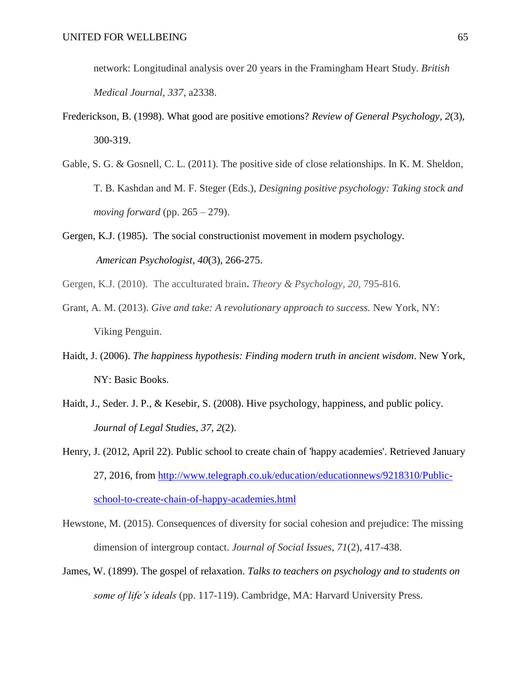network: Longitudinal analysis over 20 years in the Framingham Heart Study. *British Medical Journal, 337*, a2338.

- Frederickson, B. (1998). What good are positive emotions? *Review of General Psychology, 2*(3), 300-319.
- Gable, S. G. & Gosnell, C. L. (2011). The positive side of close relationships. In K. M. Sheldon, T. B. Kashdan and M. F. Steger (Eds.), *Designing positive psychology: Taking stock and moving forward* (pp. 265 – 279).
- Gergen, K.J. (1985). The social constructionist movement in modern psychology. *American Psychologist, 40*(3), 266-275.
- Gergen, K.J. (2010). The acculturated brain**.** *Theory & Psychology, 20*, 795-816.
- Grant, A. M. (2013). *Give and take: A revolutionary approach to success.* New York, NY: Viking Penguin.
- Haidt, J. (2006). *The happiness hypothesis: Finding modern truth in ancient wisdom*. New York, NY: Basic Books.
- Haidt, J., Seder. J. P., & Kesebir, S. (2008). Hive psychology, happiness, and public policy. *Journal of Legal Studies, 37, 2*(2).

- Hewstone, M. (2015). Consequences of diversity for social cohesion and prejudice: The missing dimension of intergroup contact. *Journal of Social Issues, 71*(2), 417-438.
- James, W. (1899). The gospel of relaxation. *Talks to teachers on psychology and to students on some of life's ideals* (pp. 117-119). Cambridge, MA: Harvard University Press.

Henry, J. (2012, April 22). Public school to create chain of 'happy academies'. Retrieved January 27, 2016, from [http://www.telegraph.co.uk/education/educationnews/9218310/Public](http://www.telegraph.co.uk/education/educationnews/9218310/Public-school-to-create-chain-of-happy-academies.html)[school-to-create-chain-of-happy-academies.html](http://www.telegraph.co.uk/education/educationnews/9218310/Public-school-to-create-chain-of-happy-academies.html)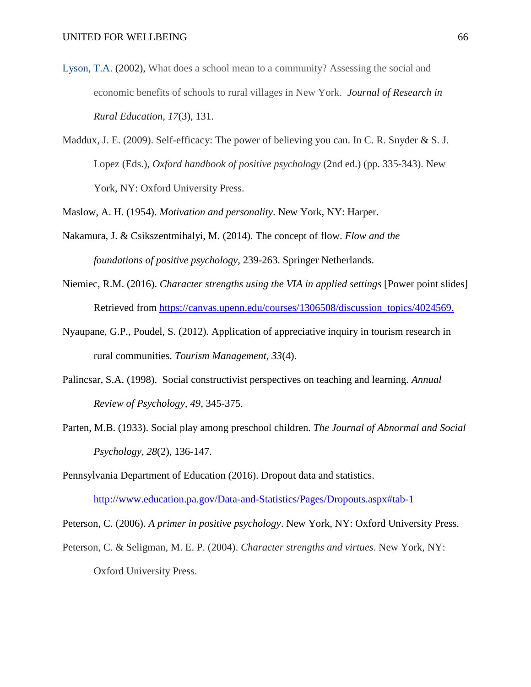- Lyson, T.A. (2002), What does a school mean to a community? Assessing the social and economic benefits of schools to rural villages in New York.*Journal of Research in Rural Education, 17*(3), 131.
- Maddux, J. E. (2009). Self-efficacy: The power of believing you can. In C. R. Snyder  $\&$  S. J. Lopez (Eds.), *Oxford handbook of positive psychology* (2nd ed.) (pp. 335-343). New York, NY: Oxford University Press.

Maslow, A. H. (1954). *Motivation and personality*. New York, NY: Harper.

- Nakamura, J. & Csikszentmihalyi, M. (2014). The concept of flow. *Flow and the foundations of positive psychology,* 239-263. Springer Netherlands.
- Niemiec, R.M. (2016). *Character strengths using the VIA in applied settings* [Power point slides] Retrieved from [https://canvas.upenn.edu/courses/1306508/discussion\\_topics/4024569.](https://canvas.upenn.edu/courses/1306508/discussion_topics/4024569)
- Nyaupane, G.P., Poudel, S. (2012). Application of appreciative inquiry in tourism research in rural communities. *Tourism Management, 33*(4).
- Palincsar, S.A. (1998). Social constructivist perspectives on teaching and learning. *Annual Review of Psychology, 49*, 345-375.
- Parten, M.B. (1933). Social play among preschool children. *The Journal of Abnormal and Social Psychology, 28*(2), 136-147.

Pennsylvania Department of Education (2016). Dropout data and statistics.

<http://www.education.pa.gov/Data-and-Statistics/Pages/Dropouts.aspx#tab-1>

Peterson, C. (2006). *A primer in positive psychology*. New York, NY: Oxford University Press.

Peterson, C. & Seligman, M. E. P. (2004). *Character strengths and virtues*. New York, NY: Oxford University Press.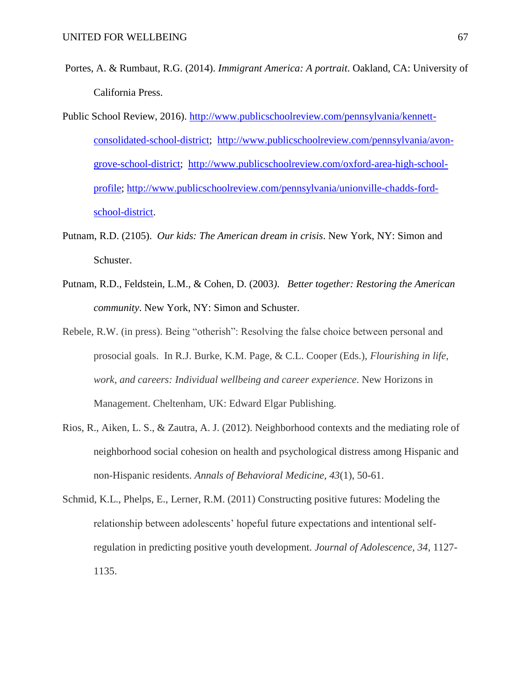- Portes, A. & Rumbaut, R.G. (2014). *Immigrant America: A portrait*. Oakland, CA: University of California Press.
- Public School Review, 2016). [http://www.publicschoolreview.com/pennsylvania/kennett](http://www.publicschoolreview.com/pennsylvania/kennett-consolidated-school-district)[consolidated-school-district;](http://www.publicschoolreview.com/pennsylvania/kennett-consolidated-school-district) [http://www.publicschoolreview.com/pennsylvania/avon](http://www.publicschoolreview.com/pennsylvania/avon-grove-school-district)[grove-school-district;](http://www.publicschoolreview.com/pennsylvania/avon-grove-school-district) [http://www.publicschoolreview.com/oxford-area-high-school](http://www.publicschoolreview.com/oxford-area-high-school-profile)[profile;](http://www.publicschoolreview.com/oxford-area-high-school-profile) [http://www.publicschoolreview.com/pennsylvania/unionville-chadds-ford](http://www.publicschoolreview.com/pennsylvania/unionville-chadds-ford-school-district)[school-district.](http://www.publicschoolreview.com/pennsylvania/unionville-chadds-ford-school-district)
- Putnam, R.D. (2105). *Our kids: The American dream in crisis*. New York, NY: Simon and Schuster.
- Putnam, R.D., Feldstein, L.M., & Cohen, D. (2003*)*. *Better together: Restoring the American community*. New York, NY: Simon and Schuster.
- Rebele, R.W. (in press). Being "otherish": Resolving the false choice between personal and prosocial goals. In R.J. Burke, K.M. Page, & C.L. Cooper (Eds.), *Flourishing in life, work, and careers: Individual wellbeing and career experience*. New Horizons in Management. Cheltenham, UK: Edward Elgar Publishing.
- Rios, R., Aiken, L. S., & Zautra, A. J. (2012). Neighborhood contexts and the mediating role of neighborhood social cohesion on health and psychological distress among Hispanic and non-Hispanic residents. *Annals of Behavioral Medicine, 43*(1), 50-61.
- Schmid, K.L., Phelps, E., Lerner, R.M. (2011) Constructing positive futures: Modeling the relationship between adolescents' hopeful future expectations and intentional selfregulation in predicting positive youth development. *Journal of Adolescence, 34,* 1127- 1135.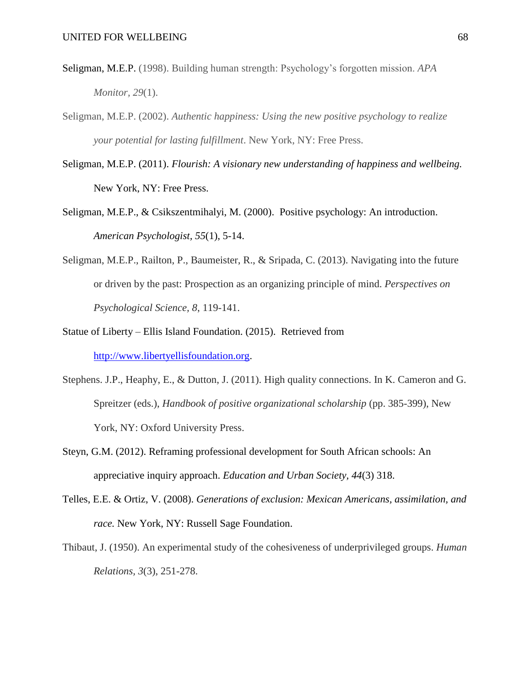- [Seligman, M.E.P.](http://www.optimalfunctioning.com/psychology/martin-seligman.html) (1998). Building human strength: Psychology's forgotten mission. *APA Monitor, 29*(1).
- Seligman, M.E.P. (2002). *Authentic happiness: Using the new positive psychology to realize your potential for lasting fulfillment*. New York, NY: Free Press.
- Seligman, M.E.P. (2011). *Flourish: A visionary new understanding of happiness and wellbeing.* New York, NY: Free Press.
- Seligman, M.E.P., & [Csikszentmihalyi, M. \(2000\).](http://proxy.library.upenn.edu:2675/index.cfm?fa=search.searchResults&latSearchType=a&term=Csikszentmihalyi,%20Mihaly) Positive psychology: An introduction. *American Psychologist, 55*(1), 5-14.
- Seligman, M.E.P., Railton, P., Baumeister, R., & Sripada, C. (2013). Navigating into the future or driven by the past: Prospection as an organizing principle of mind. *Perspectives on Psychological Science, 8*, 119-141.
- Statue of Liberty Ellis Island Foundation. (2015). Retrieved from [http://www.libertyellisfoundation.org.](http://www.libertyellisfoundation.org/)
- Stephens. J.P., Heaphy, E., & Dutton, J. (2011). High quality connections. In K. Cameron and G. Spreitzer (eds.), *Handbook of positive organizational scholarship* (pp. 385-399), New York, NY: Oxford University Press.
- Steyn, G.M. (2012). Reframing professional development for South African schools: An appreciative inquiry approach. *Education and Urban Society, 44*(3) 318.
- Telles, E.E. & Ortiz, V. (2008). *Generations of exclusion: Mexican Americans, assimilation, and race.* New York, NY: Russell Sage Foundation.
- Thibaut, J. (1950). An experimental study of the cohesiveness of underprivileged groups. *Human Relations, 3*(3), 251-278.